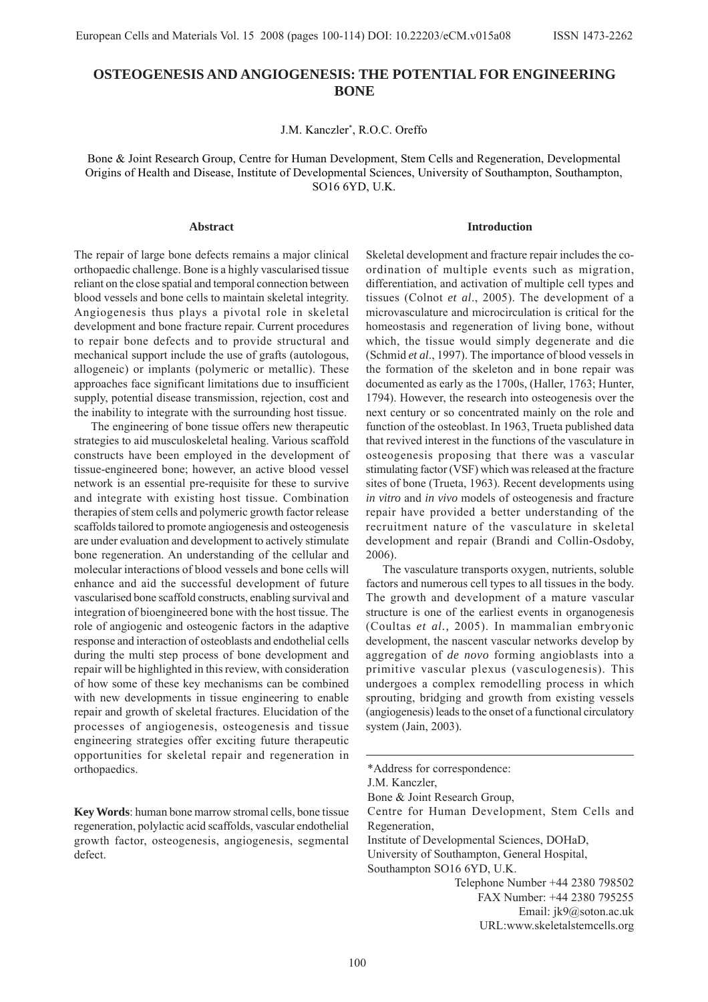# **OSTEOGENESIS AND ANGIOGENESIS: THE POTENTIAL FOR ENGINEERING BONE**

J.M. Kanczler\* , R.O.C. Oreffo

Bone & Joint Research Group, Centre for Human Development, Stem Cells and Regeneration, Developmental Origins of Health and Disease, Institute of Developmental Sciences, University of Southampton, Southampton, SO16 6YD, U.K.

### **Abstract**

The repair of large bone defects remains a major clinical orthopaedic challenge. Bone is a highly vascularised tissue reliant on the close spatial and temporal connection between blood vessels and bone cells to maintain skeletal integrity. Angiogenesis thus plays a pivotal role in skeletal development and bone fracture repair. Current procedures to repair bone defects and to provide structural and mechanical support include the use of grafts (autologous, allogeneic) or implants (polymeric or metallic). These approaches face significant limitations due to insufficient supply, potential disease transmission, rejection, cost and the inability to integrate with the surrounding host tissue.

The engineering of bone tissue offers new therapeutic strategies to aid musculoskeletal healing. Various scaffold constructs have been employed in the development of tissue-engineered bone; however, an active blood vessel network is an essential pre-requisite for these to survive and integrate with existing host tissue. Combination therapies of stem cells and polymeric growth factor release scaffolds tailored to promote angiogenesis and osteogenesis are under evaluation and development to actively stimulate bone regeneration. An understanding of the cellular and molecular interactions of blood vessels and bone cells will enhance and aid the successful development of future vascularised bone scaffold constructs, enabling survival and integration of bioengineered bone with the host tissue. The role of angiogenic and osteogenic factors in the adaptive response and interaction of osteoblasts and endothelial cells during the multi step process of bone development and repair will be highlighted in this review, with consideration of how some of these key mechanisms can be combined with new developments in tissue engineering to enable repair and growth of skeletal fractures. Elucidation of the processes of angiogenesis, osteogenesis and tissue engineering strategies offer exciting future therapeutic opportunities for skeletal repair and regeneration in orthopaedics.

**Key Words**: human bone marrow stromal cells, bone tissue regeneration, polylactic acid scaffolds, vascular endothelial growth factor, osteogenesis, angiogenesis, segmental defect.

#### **Introduction**

Skeletal development and fracture repair includes the coordination of multiple events such as migration, differentiation, and activation of multiple cell types and tissues (Colnot *et al*., 2005). The development of a microvasculature and microcirculation is critical for the homeostasis and regeneration of living bone, without which, the tissue would simply degenerate and die (Schmid *et al*., 1997). The importance of blood vessels in the formation of the skeleton and in bone repair was documented as early as the 1700s, (Haller, 1763; Hunter, 1794). However, the research into osteogenesis over the next century or so concentrated mainly on the role and function of the osteoblast. In 1963, Trueta published data that revived interest in the functions of the vasculature in osteogenesis proposing that there was a vascular stimulating factor (VSF) which was released at the fracture sites of bone (Trueta, 1963). Recent developments using *in vitro* and *in vivo* models of osteogenesis and fracture repair have provided a better understanding of the recruitment nature of the vasculature in skeletal development and repair (Brandi and Collin-Osdoby, 2006).

The vasculature transports oxygen, nutrients, soluble factors and numerous cell types to all tissues in the body. The growth and development of a mature vascular structure is one of the earliest events in organogenesis (Coultas *et al.,* 2005). In mammalian embryonic development, the nascent vascular networks develop by aggregation of *de novo* forming angioblasts into a primitive vascular plexus (vasculogenesis). This undergoes a complex remodelling process in which sprouting, bridging and growth from existing vessels (angiogenesis) leads to the onset of a functional circulatory system (Jain, 2003).

Telephone Number +44 2380 798502

<sup>\*</sup>Address for correspondence:

J.M. Kanczler,

Bone & Joint Research Group,

Centre for Human Development, Stem Cells and Regeneration,

Institute of Developmental Sciences, DOHaD,

University of Southampton, General Hospital, Southampton SO16 6YD, U.K.

FAX Number: +44 2380 795255 Email: jk9@soton.ac.uk

URL:www.skeletalstemcells.org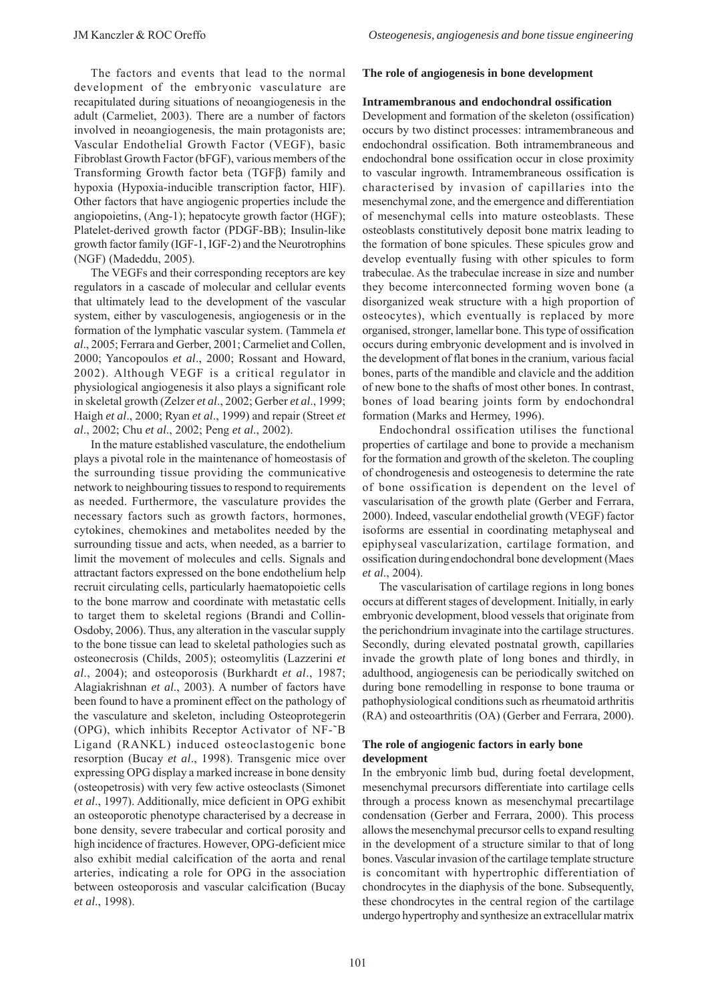The factors and events that lead to the normal development of the embryonic vasculature are recapitulated during situations of neoangiogenesis in the adult (Carmeliet, 2003). There are a number of factors involved in neoangiogenesis, the main protagonists are; Vascular Endothelial Growth Factor (VEGF), basic Fibroblast Growth Factor (bFGF), various members of the Transforming Growth factor beta (TGFβ) family and hypoxia (Hypoxia-inducible transcription factor, HIF). Other factors that have angiogenic properties include the angiopoietins, (Ang-1); hepatocyte growth factor (HGF); Platelet-derived growth factor (PDGF-BB); Insulin-like growth factor family (IGF-1, IGF-2) and the Neurotrophins (NGF) (Madeddu, 2005).

The VEGFs and their corresponding receptors are key regulators in a cascade of molecular and cellular events that ultimately lead to the development of the vascular system, either by vasculogenesis, angiogenesis or in the formation of the lymphatic vascular system. (Tammela *et al*., 2005; Ferrara and Gerber, 2001; Carmeliet and Collen, 2000; Yancopoulos *et al*., 2000; Rossant and Howard, 2002). Although VEGF is a critical regulator in physiological angiogenesis it also plays a significant role in skeletal growth (Zelzer *et al*., 2002; Gerber *et al*., 1999; Haigh *et al*., 2000; Ryan *et al*., 1999) and repair (Street *et al*., 2002; Chu *et al*., 2002; Peng *et al*., 2002).

In the mature established vasculature, the endothelium plays a pivotal role in the maintenance of homeostasis of the surrounding tissue providing the communicative network to neighbouring tissues to respond to requirements as needed. Furthermore, the vasculature provides the necessary factors such as growth factors, hormones, cytokines, chemokines and metabolites needed by the surrounding tissue and acts, when needed, as a barrier to limit the movement of molecules and cells. Signals and attractant factors expressed on the bone endothelium help recruit circulating cells, particularly haematopoietic cells to the bone marrow and coordinate with metastatic cells to target them to skeletal regions (Brandi and Collin-Osdoby, 2006). Thus, any alteration in the vascular supply to the bone tissue can lead to skeletal pathologies such as osteonecrosis (Childs, 2005); osteomylitis (Lazzerini *et al*., 2004); and osteoporosis (Burkhardt *et al*., 1987; Alagiakrishnan *et al*., 2003). A number of factors have been found to have a prominent effect on the pathology of the vasculature and skeleton, including Osteoprotegerin (OPG), which inhibits Receptor Activator of NF-˜B Ligand (RANKL) induced osteoclastogenic bone resorption (Bucay *et al*., 1998). Transgenic mice over expressing OPG display a marked increase in bone density (osteopetrosis) with very few active osteoclasts (Simonet *et al*., 1997). Additionally, mice deficient in OPG exhibit an osteoporotic phenotype characterised by a decrease in bone density, severe trabecular and cortical porosity and high incidence of fractures. However, OPG-deficient mice also exhibit medial calcification of the aorta and renal arteries, indicating a role for OPG in the association between osteoporosis and vascular calcification (Bucay *et al*., 1998).

### **The role of angiogenesis in bone development**

## **Intramembranous and endochondral ossification**

Development and formation of the skeleton (ossification) occurs by two distinct processes: intramembraneous and endochondral ossification. Both intramembraneous and endochondral bone ossification occur in close proximity to vascular ingrowth. Intramembraneous ossification is characterised by invasion of capillaries into the mesenchymal zone, and the emergence and differentiation of mesenchymal cells into mature osteoblasts. These osteoblasts constitutively deposit bone matrix leading to the formation of bone spicules. These spicules grow and develop eventually fusing with other spicules to form trabeculae. As the trabeculae increase in size and number they become interconnected forming woven bone (a disorganized weak structure with a high proportion of osteocytes), which eventually is replaced by more organised, stronger, lamellar bone. This type of ossification occurs during embryonic development and is involved in the development of flat bones in the cranium, various facial bones, parts of the mandible and clavicle and the addition of new bone to the shafts of most other bones. In contrast, bones of load bearing joints form by endochondral formation (Marks and Hermey, 1996).

Endochondral ossification utilises the functional properties of cartilage and bone to provide a mechanism for the formation and growth of the skeleton. The coupling of chondrogenesis and osteogenesis to determine the rate of bone ossification is dependent on the level of vascularisation of the growth plate (Gerber and Ferrara, 2000). Indeed, vascular endothelial growth (VEGF) factor isoforms are essential in coordinating metaphyseal and epiphyseal vascularization, cartilage formation, and ossification duringendochondral bone development (Maes *et al*., 2004).

The vascularisation of cartilage regions in long bones occurs at different stages of development. Initially, in early embryonic development, blood vessels that originate from the perichondrium invaginate into the cartilage structures. Secondly, during elevated postnatal growth, capillaries invade the growth plate of long bones and thirdly, in adulthood, angiogenesis can be periodically switched on during bone remodelling in response to bone trauma or pathophysiological conditions such as rheumatoid arthritis (RA) and osteoarthritis (OA) (Gerber and Ferrara, 2000).

# **The role of angiogenic factors in early bone development**

In the embryonic limb bud, during foetal development, mesenchymal precursors differentiate into cartilage cells through a process known as mesenchymal precartilage condensation (Gerber and Ferrara, 2000). This process allows the mesenchymal precursor cells to expand resulting in the development of a structure similar to that of long bones. Vascular invasion of the cartilage template structure is concomitant with hypertrophic differentiation of chondrocytes in the diaphysis of the bone. Subsequently, these chondrocytes in the central region of the cartilage undergo hypertrophy and synthesize an extracellular matrix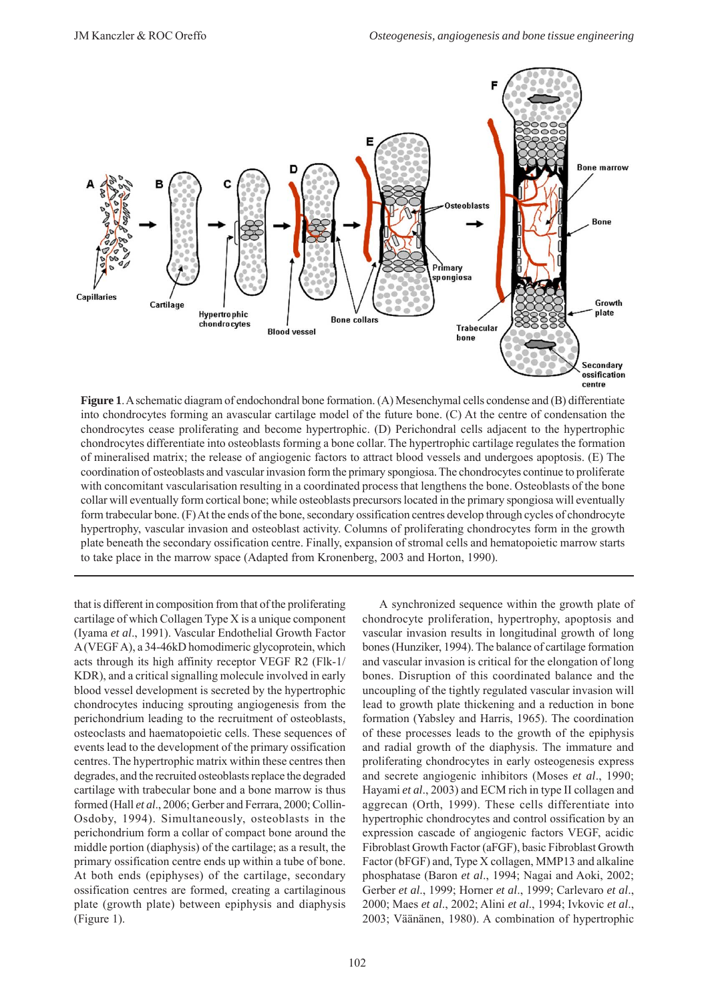

**Figure 1**. A schematic diagram of endochondral bone formation. (A) Mesenchymal cells condense and (B) differentiate into chondrocytes forming an avascular cartilage model of the future bone. (C) At the centre of condensation the chondrocytes cease proliferating and become hypertrophic. (D) Perichondral cells adjacent to the hypertrophic chondrocytes differentiate into osteoblasts forming a bone collar. The hypertrophic cartilage regulates the formation of mineralised matrix; the release of angiogenic factors to attract blood vessels and undergoes apoptosis. (E) The coordination of osteoblasts and vascular invasion form the primary spongiosa. The chondrocytes continue to proliferate with concomitant vascularisation resulting in a coordinated process that lengthens the bone. Osteoblasts of the bone collar will eventually form cortical bone; while osteoblasts precursors located in the primary spongiosa will eventually form trabecular bone. (F) At the ends of the bone, secondary ossification centres develop through cycles of chondrocyte hypertrophy, vascular invasion and osteoblast activity. Columns of proliferating chondrocytes form in the growth plate beneath the secondary ossification centre. Finally, expansion of stromal cells and hematopoietic marrow starts to take place in the marrow space (Adapted from Kronenberg, 2003 and Horton, 1990).

that is different in composition from that of the proliferating cartilage of which Collagen Type X is a unique component (Iyama *et al*., 1991). Vascular Endothelial Growth Factor A (VEGF A), a 34-46kD homodimeric glycoprotein, which acts through its high affinity receptor VEGF R2 (Flk-1/ KDR), and a critical signalling molecule involved in early blood vessel development is secreted by the hypertrophic chondrocytes inducing sprouting angiogenesis from the perichondrium leading to the recruitment of osteoblasts, osteoclasts and haematopoietic cells. These sequences of events lead to the development of the primary ossification centres. The hypertrophic matrix within these centres then degrades, and the recruited osteoblasts replace the degraded cartilage with trabecular bone and a bone marrow is thus formed (Hall *et al*., 2006; Gerber and Ferrara, 2000; Collin-Osdoby, 1994). Simultaneously, osteoblasts in the perichondrium form a collar of compact bone around the middle portion (diaphysis) of the cartilage; as a result, the primary ossification centre ends up within a tube of bone. At both ends (epiphyses) of the cartilage, secondary ossification centres are formed, creating a cartilaginous plate (growth plate) between epiphysis and diaphysis (Figure 1).

A synchronized sequence within the growth plate of chondrocyte proliferation, hypertrophy, apoptosis and vascular invasion results in longitudinal growth of long bones (Hunziker, 1994). The balance of cartilage formation and vascular invasion is critical for the elongation of long bones. Disruption of this coordinated balance and the uncoupling of the tightly regulated vascular invasion will lead to growth plate thickening and a reduction in bone formation (Yabsley and Harris, 1965). The coordination of these processes leads to the growth of the epiphysis and radial growth of the diaphysis. The immature and proliferating chondrocytes in early osteogenesis express and secrete angiogenic inhibitors (Moses *et al*., 1990; Hayami *et al*., 2003) and ECM rich in type II collagen and aggrecan (Orth, 1999). These cells differentiate into hypertrophic chondrocytes and control ossification by an expression cascade of angiogenic factors VEGF, acidic Fibroblast Growth Factor (aFGF), basic Fibroblast Growth Factor (bFGF) and, Type X collagen, MMP13 and alkaline phosphatase (Baron *et al*., 1994; Nagai and Aoki, 2002; Gerber *et al*., 1999; Horner *et al*., 1999; Carlevaro *et al*., 2000; Maes *et al*., 2002; Alini *et al*., 1994; Ivkovic *et al*., 2003; Väänänen, 1980). A combination of hypertrophic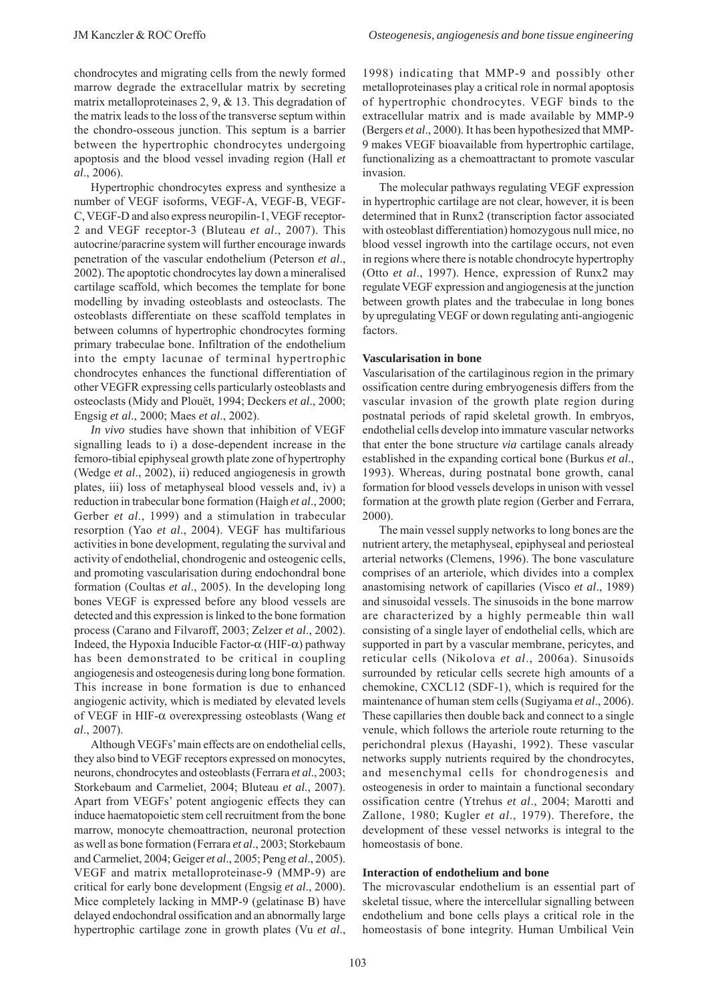chondrocytes and migrating cells from the newly formed marrow degrade the extracellular matrix by secreting matrix metalloproteinases 2, 9, & 13. This degradation of the matrix leads to the loss of the transverse septum within the chondro-osseous junction. This septum is a barrier between the hypertrophic chondrocytes undergoing apoptosis and the blood vessel invading region (Hall *et al*., 2006).

Hypertrophic chondrocytes express and synthesize a number of VEGF isoforms, VEGF-A, VEGF-B, VEGF-C, VEGF-D and also express neuropilin-1, VEGF receptor-2 and VEGF receptor-3 (Bluteau *et al*., 2007). This autocrine/paracrine system will further encourage inwards penetration of the vascular endothelium (Peterson *et al*., 2002). The apoptotic chondrocytes lay down a mineralised cartilage scaffold, which becomes the template for bone modelling by invading osteoblasts and osteoclasts. The osteoblasts differentiate on these scaffold templates in between columns of hypertrophic chondrocytes forming primary trabeculae bone. Infiltration of the endothelium into the empty lacunae of terminal hypertrophic chondrocytes enhances the functional differentiation of other VEGFR expressing cells particularly osteoblasts and osteoclasts (Midy and Plouët, 1994; Deckers *et al*., 2000; Engsig *et al*., 2000; Maes *et al*., 2002).

*In vivo* studies have shown that inhibition of VEGF signalling leads to i) a dose-dependent increase in the femoro-tibial epiphyseal growth plate zone of hypertrophy (Wedge *et al*., 2002), ii) reduced angiogenesis in growth plates, iii) loss of metaphyseal blood vessels and, iv) a reduction in trabecular bone formation (Haigh *et al*., 2000; Gerber *et al*., 1999) and a stimulation in trabecular resorption (Yao *et al*., 2004). VEGF has multifarious activities in bone development, regulating the survival and activity of endothelial, chondrogenic and osteogenic cells, and promoting vascularisation during endochondral bone formation (Coultas *et al*., 2005). In the developing long bones VEGF is expressed before any blood vessels are detected and this expression is linked to the bone formation process (Carano and Filvaroff, 2003; Zelzer *et al*., 2002). Indeed, the Hypoxia Inducible Factor-α (HIF-α) pathway has been demonstrated to be critical in coupling angiogenesis and osteogenesis during long bone formation. This increase in bone formation is due to enhanced angiogenic activity, which is mediated by elevated levels of VEGF in HIF-α overexpressing osteoblasts (Wang *et al*., 2007).

Although VEGFs' main effects are on endothelial cells, they also bind to VEGF receptors expressed on monocytes, neurons, chondrocytes and osteoblasts (Ferrara *et al*., 2003; Storkebaum and Carmeliet, 2004; Bluteau *et al*., 2007). Apart from VEGFs' potent angiogenic effects they can induce haematopoietic stem cell recruitment from the bone marrow, monocyte chemoattraction, neuronal protection as well as bone formation (Ferrara *et al*., 2003; Storkebaum and Carmeliet, 2004; Geiger *et al*., 2005; Peng *et al*., 2005). VEGF and matrix metalloproteinase-9 (MMP-9) are critical for early bone development (Engsig *et al*., 2000). Mice completely lacking in MMP-9 (gelatinase B) have delayed endochondral ossification and an abnormally large hypertrophic cartilage zone in growth plates (Vu *et al*.,

1998) indicating that MMP-9 and possibly other metalloproteinases play a critical role in normal apoptosis of hypertrophic chondrocytes. VEGF binds to the extracellular matrix and is made available by MMP-9 (Bergers *et al*., 2000). It has been hypothesized that MMP-9 makes VEGF bioavailable from hypertrophic cartilage, functionalizing as a chemoattractant to promote vascular invasion.

The molecular pathways regulating VEGF expression in hypertrophic cartilage are not clear, however, it is been determined that in Runx2 (transcription factor associated with osteoblast differentiation) homozygous null mice, no blood vessel ingrowth into the cartilage occurs, not even in regions where there is notable chondrocyte hypertrophy (Otto *et al*., 1997). Hence, expression of Runx2 may regulate VEGF expression and angiogenesis at the junction between growth plates and the trabeculae in long bones by upregulating VEGF or down regulating anti-angiogenic factors.

## **Vascularisation in bone**

Vascularisation of the cartilaginous region in the primary ossification centre during embryogenesis differs from the vascular invasion of the growth plate region during postnatal periods of rapid skeletal growth. In embryos, endothelial cells develop into immature vascular networks that enter the bone structure *via* cartilage canals already established in the expanding cortical bone (Burkus *et al*., 1993). Whereas, during postnatal bone growth, canal formation for blood vessels develops in unison with vessel formation at the growth plate region (Gerber and Ferrara, 2000).

The main vessel supply networks to long bones are the nutrient artery, the metaphyseal, epiphyseal and periosteal arterial networks (Clemens, 1996). The bone vasculature comprises of an arteriole, which divides into a complex anastomising network of capillaries (Visco *et al*., 1989) and sinusoidal vessels. The sinusoids in the bone marrow are characterized by a highly permeable thin wall consisting of a single layer of endothelial cells, which are supported in part by a vascular membrane, pericytes, and reticular cells (Nikolova *et al*., 2006a). Sinusoids surrounded by reticular cells secrete high amounts of a chemokine, CXCL12 (SDF-1), which is required for the maintenance of human stem cells (Sugiyama *et al*., 2006). These capillaries then double back and connect to a single venule, which follows the arteriole route returning to the perichondral plexus (Hayashi, 1992). These vascular networks supply nutrients required by the chondrocytes, and mesenchymal cells for chondrogenesis and osteogenesis in order to maintain a functional secondary ossification centre (Ytrehus *et al*., 2004; Marotti and Zallone, 1980; Kugler *et al*., 1979). Therefore, the development of these vessel networks is integral to the homeostasis of bone.

## **Interaction of endothelium and bone**

The microvascular endothelium is an essential part of skeletal tissue, where the intercellular signalling between endothelium and bone cells plays a critical role in the homeostasis of bone integrity. Human Umbilical Vein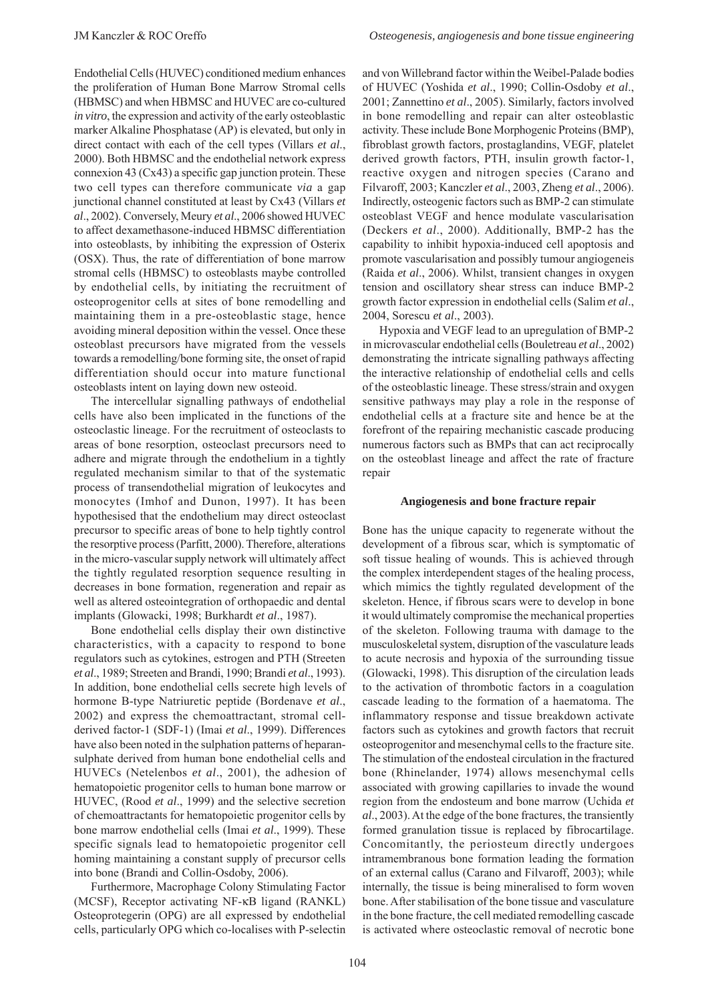Endothelial Cells (HUVEC) conditioned medium enhances the proliferation of Human Bone Marrow Stromal cells (HBMSC) and when HBMSC and HUVEC are co-cultured *in vitro*, the expression and activity of the early osteoblastic marker Alkaline Phosphatase (AP) is elevated, but only in direct contact with each of the cell types (Villars *et al*., 2000). Both HBMSC and the endothelial network express connexion 43 (Cx43) a specific gap junction protein. These two cell types can therefore communicate *via* a gap junctional channel constituted at least by Cx43 (Villars *et al*., 2002). Conversely, Meury *et al*., 2006 showed HUVEC to affect dexamethasone-induced HBMSC differentiation into osteoblasts, by inhibiting the expression of Osterix (OSX). Thus, the rate of differentiation of bone marrow stromal cells (HBMSC) to osteoblasts maybe controlled by endothelial cells, by initiating the recruitment of osteoprogenitor cells at sites of bone remodelling and maintaining them in a pre-osteoblastic stage, hence avoiding mineral deposition within the vessel. Once these osteoblast precursors have migrated from the vessels towards a remodelling/bone forming site, the onset of rapid differentiation should occur into mature functional osteoblasts intent on laying down new osteoid.

The intercellular signalling pathways of endothelial cells have also been implicated in the functions of the osteoclastic lineage. For the recruitment of osteoclasts to areas of bone resorption, osteoclast precursors need to adhere and migrate through the endothelium in a tightly regulated mechanism similar to that of the systematic process of transendothelial migration of leukocytes and monocytes (Imhof and Dunon, 1997). It has been hypothesised that the endothelium may direct osteoclast precursor to specific areas of bone to help tightly control the resorptive process (Parfitt, 2000). Therefore, alterations in the micro-vascular supply network will ultimately affect the tightly regulated resorption sequence resulting in decreases in bone formation, regeneration and repair as well as altered osteointegration of orthopaedic and dental implants (Glowacki, 1998; Burkhardt *et al*., 1987).

Bone endothelial cells display their own distinctive characteristics, with a capacity to respond to bone regulators such as cytokines, estrogen and PTH (Streeten *et al*., 1989; Streeten and Brandi, 1990; Brandi *et al*., 1993). In addition, bone endothelial cells secrete high levels of hormone B-type Natriuretic peptide (Bordenave *et al*., 2002) and express the chemoattractant, stromal cellderived factor-1 (SDF-1) (Imai *et al*., 1999). Differences have also been noted in the sulphation patterns of heparansulphate derived from human bone endothelial cells and HUVECs (Netelenbos *et al*., 2001), the adhesion of hematopoietic progenitor cells to human bone marrow or HUVEC, (Rood *et al*., 1999) and the selective secretion of chemoattractants for hematopoietic progenitor cells by bone marrow endothelial cells (Imai *et al*., 1999). These specific signals lead to hematopoietic progenitor cell homing maintaining a constant supply of precursor cells into bone (Brandi and Collin-Osdoby, 2006).

Furthermore, Macrophage Colony Stimulating Factor (MCSF), Receptor activating NF-κB ligand (RANKL) Osteoprotegerin (OPG) are all expressed by endothelial cells, particularly OPG which co-localises with P-selectin

and von Willebrand factor within the Weibel-Palade bodies of HUVEC (Yoshida *et al*., 1990; Collin-Osdoby *et al*., 2001; Zannettino *et al*., 2005). Similarly, factors involved in bone remodelling and repair can alter osteoblastic activity. These include Bone Morphogenic Proteins (BMP), fibroblast growth factors, prostaglandins, VEGF, platelet derived growth factors, PTH, insulin growth factor-1, reactive oxygen and nitrogen species (Carano and Filvaroff, 2003; Kanczler *et al*., 2003, Zheng *et al*., 2006). Indirectly, osteogenic factors such as BMP-2 can stimulate osteoblast VEGF and hence modulate vascularisation (Deckers *et al*., 2000). Additionally, BMP-2 has the capability to inhibit hypoxia-induced cell apoptosis and promote vascularisation and possibly tumour angiogeneis (Raida *et al*., 2006). Whilst, transient changes in oxygen tension and oscillatory shear stress can induce BMP-2 growth factor expression in endothelial cells (Salim *et al*., 2004, Sorescu *et al*., 2003).

Hypoxia and VEGF lead to an upregulation of BMP-2 in microvascular endothelial cells (Bouletreau *et al*., 2002) demonstrating the intricate signalling pathways affecting the interactive relationship of endothelial cells and cells of the osteoblastic lineage. These stress/strain and oxygen sensitive pathways may play a role in the response of endothelial cells at a fracture site and hence be at the forefront of the repairing mechanistic cascade producing numerous factors such as BMPs that can act reciprocally on the osteoblast lineage and affect the rate of fracture repair

#### **Angiogenesis and bone fracture repair**

Bone has the unique capacity to regenerate without the development of a fibrous scar, which is symptomatic of soft tissue healing of wounds. This is achieved through the complex interdependent stages of the healing process, which mimics the tightly regulated development of the skeleton. Hence, if fibrous scars were to develop in bone it would ultimately compromise the mechanical properties of the skeleton. Following trauma with damage to the musculoskeletal system, disruption of the vasculature leads to acute necrosis and hypoxia of the surrounding tissue (Glowacki, 1998). This disruption of the circulation leads to the activation of thrombotic factors in a coagulation cascade leading to the formation of a haematoma. The inflammatory response and tissue breakdown activate factors such as cytokines and growth factors that recruit osteoprogenitor and mesenchymal cells to the fracture site. The stimulation of the endosteal circulation in the fractured bone (Rhinelander, 1974) allows mesenchymal cells associated with growing capillaries to invade the wound region from the endosteum and bone marrow (Uchida *et al*., 2003). At the edge of the bone fractures, the transiently formed granulation tissue is replaced by fibrocartilage. Concomitantly, the periosteum directly undergoes intramembranous bone formation leading the formation of an external callus (Carano and Filvaroff, 2003); while internally, the tissue is being mineralised to form woven bone. After stabilisation of the bone tissue and vasculature in the bone fracture, the cell mediated remodelling cascade is activated where osteoclastic removal of necrotic bone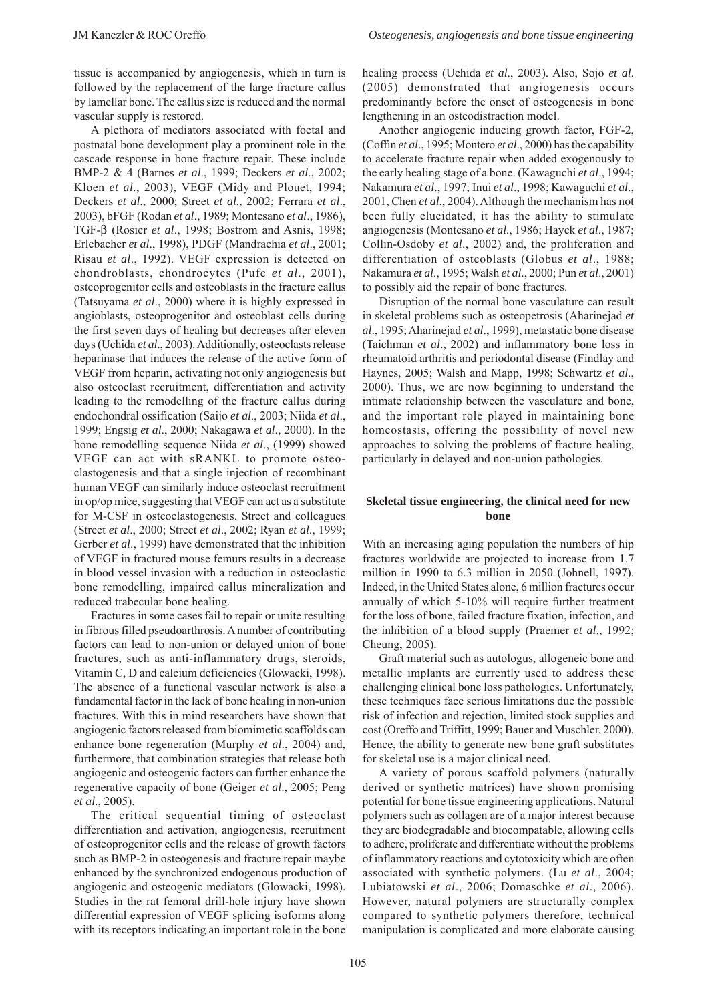tissue is accompanied by angiogenesis, which in turn is followed by the replacement of the large fracture callus by lamellar bone. The callus size is reduced and the normal vascular supply is restored.

A plethora of mediators associated with foetal and postnatal bone development play a prominent role in the cascade response in bone fracture repair. These include BMP-2 & 4 (Barnes *et al*., 1999; Deckers *et al*., 2002; Kloen *et al*., 2003), VEGF (Midy and Plouet, 1994; Deckers *et al*., 2000; Street *et al*., 2002; Ferrara *et al*., 2003), bFGF (Rodan *et al*., 1989; Montesano *et al*., 1986), TGF-β (Rosier *et al*., 1998; Bostrom and Asnis, 1998; Erlebacher *et al*., 1998), PDGF (Mandrachia *et al*., 2001; Risau *et al*., 1992). VEGF expression is detected on chondroblasts, chondrocytes (Pufe *et al*., 2001), osteoprogenitor cells and osteoblasts in the fracture callus (Tatsuyama *et al*., 2000) where it is highly expressed in angioblasts, osteoprogenitor and osteoblast cells during the first seven days of healing but decreases after eleven days (Uchida *et al*., 2003). Additionally, osteoclasts release heparinase that induces the release of the active form of VEGF from heparin, activating not only angiogenesis but also osteoclast recruitment, differentiation and activity leading to the remodelling of the fracture callus during endochondral ossification (Saijo *et al*., 2003; Niida *et al*., 1999; Engsig *et al*., 2000; Nakagawa *et al*., 2000). In the bone remodelling sequence Niida *et al*., (1999) showed VEGF can act with sRANKL to promote osteoclastogenesis and that a single injection of recombinant human VEGF can similarly induce osteoclast recruitment in op/op mice, suggesting that VEGF can act as a substitute for M-CSF in osteoclastogenesis. Street and colleagues (Street *et al*., 2000; Street *et al*., 2002; Ryan *et al*., 1999; Gerber *et al*., 1999) have demonstrated that the inhibition of VEGF in fractured mouse femurs results in a decrease in blood vessel invasion with a reduction in osteoclastic bone remodelling, impaired callus mineralization and reduced trabecular bone healing.

Fractures in some cases fail to repair or unite resulting in fibrous filled pseudoarthrosis. A number of contributing factors can lead to non-union or delayed union of bone fractures, such as anti-inflammatory drugs, steroids, Vitamin C, D and calcium deficiencies (Glowacki, 1998). The absence of a functional vascular network is also a fundamental factor in the lack of bone healing in non-union fractures. With this in mind researchers have shown that angiogenic factors released from biomimetic scaffolds can enhance bone regeneration (Murphy *et al*., 2004) and, furthermore, that combination strategies that release both angiogenic and osteogenic factors can further enhance the regenerative capacity of bone (Geiger *et al*., 2005; Peng *et al*., 2005).

The critical sequential timing of osteoclast differentiation and activation, angiogenesis, recruitment of osteoprogenitor cells and the release of growth factors such as BMP-2 in osteogenesis and fracture repair maybe enhanced by the synchronized endogenous production of angiogenic and osteogenic mediators (Glowacki, 1998). Studies in the rat femoral drill-hole injury have shown differential expression of VEGF splicing isoforms along with its receptors indicating an important role in the bone healing process (Uchida *et al*., 2003). Also, Sojo *et al*. (2005) demonstrated that angiogenesis occurs predominantly before the onset of osteogenesis in bone lengthening in an osteodistraction model.

Another angiogenic inducing growth factor, FGF-2, (Coffin *et al*., 1995; Montero *et al*., 2000) has the capability to accelerate fracture repair when added exogenously to the early healing stage of a bone. (Kawaguchi *et al*., 1994; Nakamura *et al*., 1997; Inui *et al*., 1998; Kawaguchi *et al*., 2001, Chen *et al*., 2004). Although the mechanism has not been fully elucidated, it has the ability to stimulate angiogenesis (Montesano *et al*., 1986; Hayek *et al*., 1987; Collin-Osdoby *et al*., 2002) and, the proliferation and differentiation of osteoblasts (Globus *et al*., 1988; Nakamura *et al*., 1995; Walsh *et al*., 2000; Pun *et al*., 2001) to possibly aid the repair of bone fractures.

Disruption of the normal bone vasculature can result in skeletal problems such as osteopetrosis (Aharinejad *et al*., 1995; Aharinejad *et al*., 1999), metastatic bone disease (Taichman *et al*., 2002) and inflammatory bone loss in rheumatoid arthritis and periodontal disease (Findlay and Haynes, 2005; Walsh and Mapp, 1998; Schwartz *et al*., 2000). Thus, we are now beginning to understand the intimate relationship between the vasculature and bone, and the important role played in maintaining bone homeostasis, offering the possibility of novel new approaches to solving the problems of fracture healing, particularly in delayed and non-union pathologies.

## **Skeletal tissue engineering, the clinical need for new bone**

With an increasing aging population the numbers of hip fractures worldwide are projected to increase from 1.7 million in 1990 to 6.3 million in 2050 (Johnell, 1997). Indeed, in the United States alone, 6 million fractures occur annually of which 5-10% will require further treatment for the loss of bone, failed fracture fixation, infection, and the inhibition of a blood supply (Praemer *et al*., 1992; Cheung, 2005).

Graft material such as autologus, allogeneic bone and metallic implants are currently used to address these challenging clinical bone loss pathologies. Unfortunately, these techniques face serious limitations due the possible risk of infection and rejection, limited stock supplies and cost (Oreffo and Triffitt, 1999; Bauer and Muschler, 2000). Hence, the ability to generate new bone graft substitutes for skeletal use is a major clinical need.

A variety of porous scaffold polymers (naturally derived or synthetic matrices) have shown promising potential for bone tissue engineering applications. Natural polymers such as collagen are of a major interest because they are biodegradable and biocompatable, allowing cells to adhere, proliferate and differentiate without the problems of inflammatory reactions and cytotoxicity which are often associated with synthetic polymers. (Lu *et al*., 2004; Lubiatowski *et al*., 2006; Domaschke *et al*., 2006). However, natural polymers are structurally complex compared to synthetic polymers therefore, technical manipulation is complicated and more elaborate causing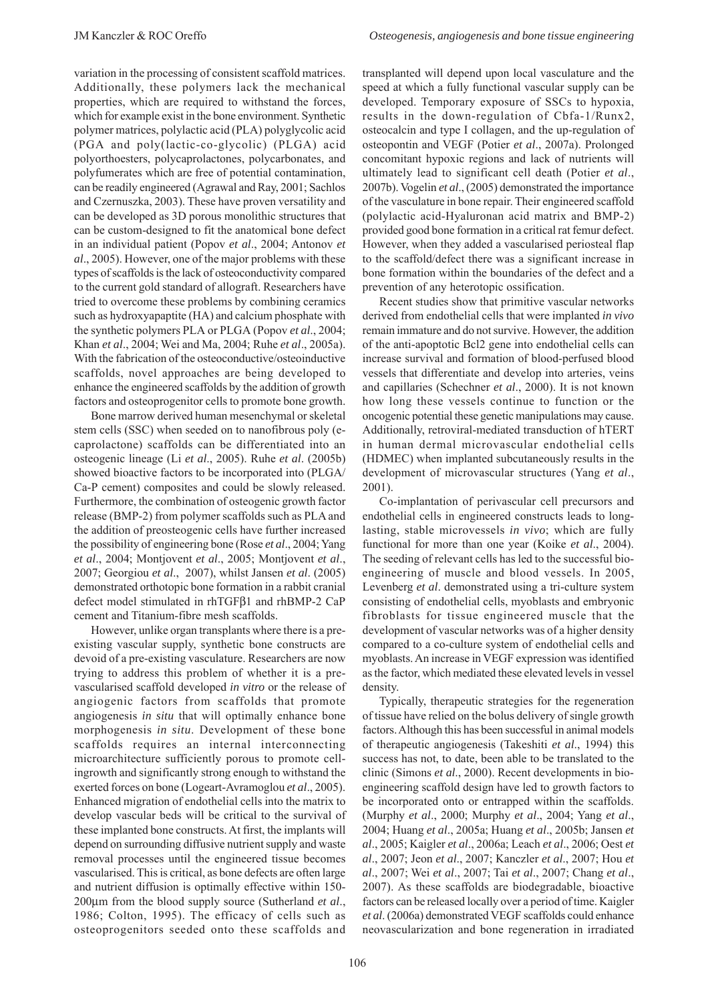variation in the processing of consistent scaffold matrices. Additionally, these polymers lack the mechanical properties, which are required to withstand the forces, which for example exist in the bone environment. Synthetic polymer matrices, polylactic acid (PLA) polyglycolic acid (PGA and poly(lactic-co-glycolic) (PLGA) acid polyorthoesters, polycaprolactones, polycarbonates, and polyfumerates which are free of potential contamination, can be readily engineered (Agrawal and Ray, 2001; Sachlos and Czernuszka, 2003). These have proven versatility and can be developed as 3D porous monolithic structures that can be custom-designed to fit the anatomical bone defect in an individual patient (Popov *et al*., 2004; Antonov *et al*., 2005). However, one of the major problems with these types of scaffolds is the lack of osteoconductivity compared to the current gold standard of allograft. Researchers have tried to overcome these problems by combining ceramics such as hydroxyapaptite (HA) and calcium phosphate with the synthetic polymers PLA or PLGA (Popov *et al*., 2004; Khan *et al*., 2004; Wei and Ma, 2004; Ruhe *et al*., 2005a). With the fabrication of the osteoconductive/osteoinductive scaffolds, novel approaches are being developed to enhance the engineered scaffolds by the addition of growth factors and osteoprogenitor cells to promote bone growth.

Bone marrow derived human mesenchymal or skeletal stem cells (SSC) when seeded on to nanofibrous poly (ecaprolactone) scaffolds can be differentiated into an osteogenic lineage (Li *et al*., 2005). Ruhe *et al*. (2005b) showed bioactive factors to be incorporated into (PLGA/ Ca-P cement) composites and could be slowly released. Furthermore, the combination of osteogenic growth factor release (BMP-2) from polymer scaffolds such as PLA and the addition of preosteogenic cells have further increased the possibility of engineering bone (Rose *et al*., 2004; Yang *et al*., 2004; Montjovent *et al*., 2005; Montjovent *et al*., 2007; Georgiou *et al*., 2007), whilst Jansen *et al*. (2005) demonstrated orthotopic bone formation in a rabbit cranial defect model stimulated in rhTGFβ1 and rhBMP-2 CaP cement and Titanium-fibre mesh scaffolds.

However, unlike organ transplants where there is a preexisting vascular supply, synthetic bone constructs are devoid of a pre-existing vasculature. Researchers are now trying to address this problem of whether it is a prevascularised scaffold developed *in vitro* or the release of angiogenic factors from scaffolds that promote angiogenesis *in situ* that will optimally enhance bone morphogenesis *in situ*. Development of these bone scaffolds requires an internal interconnecting microarchitecture sufficiently porous to promote cellingrowth and significantly strong enough to withstand the exerted forces on bone (Logeart-Avramoglou *et al*., 2005). Enhanced migration of endothelial cells into the matrix to develop vascular beds will be critical to the survival of these implanted bone constructs. At first, the implants will depend on surrounding diffusive nutrient supply and waste removal processes until the engineered tissue becomes vascularised. This is critical, as bone defects are often large and nutrient diffusion is optimally effective within 150- 200μm from the blood supply source (Sutherland *et al*., 1986; Colton, 1995). The efficacy of cells such as osteoprogenitors seeded onto these scaffolds and

transplanted will depend upon local vasculature and the speed at which a fully functional vascular supply can be developed. Temporary exposure of SSCs to hypoxia, results in the down-regulation of Cbfa-1/Runx2, osteocalcin and type I collagen, and the up-regulation of osteopontin and VEGF (Potier *et al*., 2007a). Prolonged concomitant hypoxic regions and lack of nutrients will ultimately lead to significant cell death (Potier *et al*., 2007b). Vogelin *et al*., (2005) demonstrated the importance of the vasculature in bone repair. Their engineered scaffold (polylactic acid-Hyaluronan acid matrix and BMP-2) provided good bone formation in a critical rat femur defect. However, when they added a vascularised periosteal flap to the scaffold/defect there was a significant increase in bone formation within the boundaries of the defect and a prevention of any heterotopic ossification.

Recent studies show that primitive vascular networks derived from endothelial cells that were implanted *in vivo* remain immature and do not survive. However, the addition of the anti-apoptotic Bcl2 gene into endothelial cells can increase survival and formation of blood-perfused blood vessels that differentiate and develop into arteries, veins and capillaries (Schechner *et al*., 2000). It is not known how long these vessels continue to function or the oncogenic potential these genetic manipulations may cause. Additionally, retroviral-mediated transduction of hTERT in human dermal microvascular endothelial cells (HDMEC) when implanted subcutaneously results in the development of microvascular structures (Yang *et al*., 2001).

Co-implantation of perivascular cell precursors and endothelial cells in engineered constructs leads to longlasting, stable microvessels *in vivo*; which are fully functional for more than one year (Koike *et al*., 2004). The seeding of relevant cells has led to the successful bioengineering of muscle and blood vessels. In 2005, Levenberg *et al*. demonstrated using a tri-culture system consisting of endothelial cells, myoblasts and embryonic fibroblasts for tissue engineered muscle that the development of vascular networks was of a higher density compared to a co-culture system of endothelial cells and myoblasts. An increase in VEGF expression was identified as the factor, which mediated these elevated levels in vessel density.

Typically, therapeutic strategies for the regeneration of tissue have relied on the bolus delivery of single growth factors. Although this has been successful in animal models of therapeutic angiogenesis (Takeshiti *et al*., 1994) this success has not, to date, been able to be translated to the clinic (Simons *et al*., 2000). Recent developments in bioengineering scaffold design have led to growth factors to be incorporated onto or entrapped within the scaffolds. (Murphy *et al*., 2000; Murphy *et al*., 2004; Yang *et al*., 2004; Huang *et al*., 2005a; Huang *et al*., 2005b; Jansen *et al*., 2005; Kaigler *et al*., 2006a; Leach *et al*., 2006; Oest *et al*., 2007; Jeon *et al*., 2007; Kanczler *et al*., 2007; Hou *et al*., 2007; Wei *et al*., 2007; Tai *et al*., 2007; Chang *et al*., 2007). As these scaffolds are biodegradable, bioactive factors can be released locally over a period of time. Kaigler *et al*. (2006a) demonstrated VEGF scaffolds could enhance neovascularization and bone regeneration in irradiated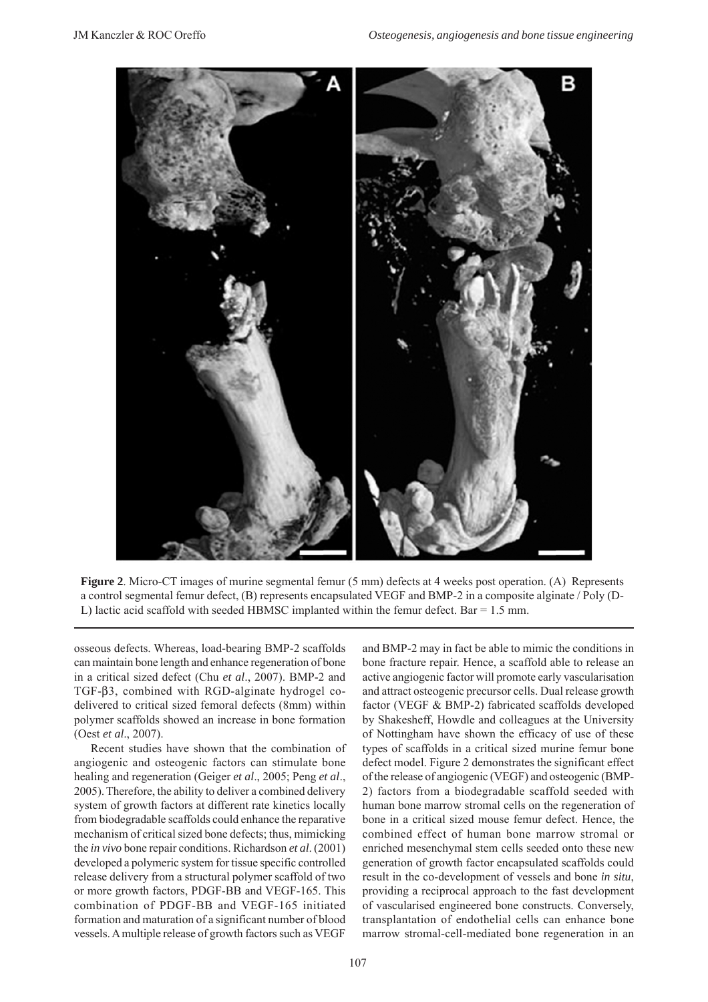

**Figure 2.** Micro-CT images of murine segmental femur (5 mm) defects at 4 weeks post operation. (A) Represents a control segmental femur defect, (B) represents encapsulated VEGF and BMP-2 in a composite alginate / Poly (D-L) lactic acid scaffold with seeded HBMSC implanted within the femur defect. Bar = 1.5 mm.

osseous defects. Whereas, load-bearing BMP-2 scaffolds can maintain bone length and enhance regeneration of bone in a critical sized defect (Chu *et al*., 2007). BMP-2 and TGF-β3, combined with RGD-alginate hydrogel codelivered to critical sized femoral defects (8mm) within polymer scaffolds showed an increase in bone formation (Oest *et al*., 2007).

Recent studies have shown that the combination of angiogenic and osteogenic factors can stimulate bone healing and regeneration (Geiger *et al*., 2005; Peng *et al*., 2005). Therefore, the ability to deliver a combined delivery system of growth factors at different rate kinetics locally from biodegradable scaffolds could enhance the reparative mechanism of critical sized bone defects; thus, mimicking the *in vivo* bone repair conditions. Richardson *et al*. (2001) developed a polymeric system for tissue specific controlled release delivery from a structural polymer scaffold of two or more growth factors, PDGF-BB and VEGF-165. This combination of PDGF-BB and VEGF-165 initiated formation and maturation of a significant number of blood vessels. A multiple release of growth factors such as VEGF

and BMP-2 may in fact be able to mimic the conditions in bone fracture repair. Hence, a scaffold able to release an active angiogenic factor will promote early vascularisation and attract osteogenic precursor cells. Dual release growth factor (VEGF & BMP-2) fabricated scaffolds developed by Shakesheff, Howdle and colleagues at the University of Nottingham have shown the efficacy of use of these types of scaffolds in a critical sized murine femur bone defect model. Figure 2 demonstrates the significant effect of the release of angiogenic (VEGF) and osteogenic (BMP-2) factors from a biodegradable scaffold seeded with human bone marrow stromal cells on the regeneration of bone in a critical sized mouse femur defect. Hence, the combined effect of human bone marrow stromal or enriched mesenchymal stem cells seeded onto these new generation of growth factor encapsulated scaffolds could result in the co-development of vessels and bone *in situ*, providing a reciprocal approach to the fast development of vascularised engineered bone constructs. Conversely, transplantation of endothelial cells can enhance bone marrow stromal-cell-mediated bone regeneration in an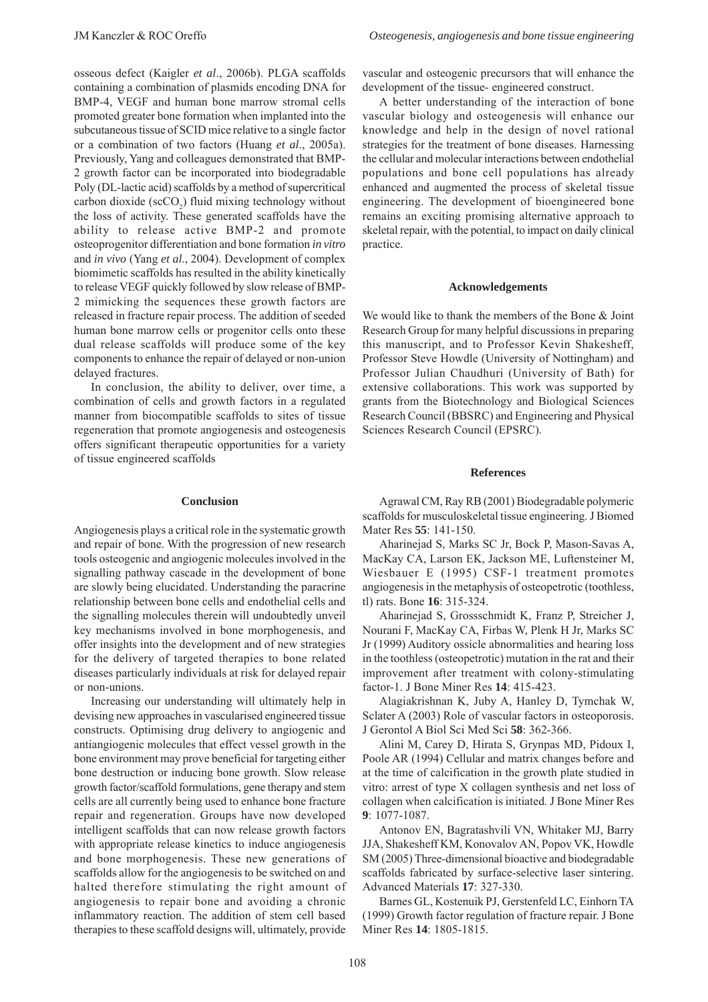osseous defect (Kaigler *et al*., 2006b). PLGA scaffolds containing a combination of plasmids encoding DNA for BMP-4, VEGF and human bone marrow stromal cells promoted greater bone formation when implanted into the subcutaneous tissue of SCID mice relative to a single factor or a combination of two factors (Huang *et al*., 2005a). Previously, Yang and colleagues demonstrated that BMP-2 growth factor can be incorporated into biodegradable Poly (DL-lactic acid) scaffolds by a method of supercritical carbon dioxide  $(\text{scCO}_2)$  fluid mixing technology without the loss of activity. These generated scaffolds have the ability to release active BMP-2 and promote osteoprogenitor differentiation and bone formation *in vitro* and *in vivo* (Yang *et al*., 2004). Development of complex biomimetic scaffolds has resulted in the ability kinetically to release VEGF quickly followed by slow release of BMP-2 mimicking the sequences these growth factors are released in fracture repair process. The addition of seeded human bone marrow cells or progenitor cells onto these dual release scaffolds will produce some of the key components to enhance the repair of delayed or non-union delayed fractures.

In conclusion, the ability to deliver, over time, a combination of cells and growth factors in a regulated manner from biocompatible scaffolds to sites of tissue regeneration that promote angiogenesis and osteogenesis offers significant therapeutic opportunities for a variety of tissue engineered scaffolds

### **Conclusion**

Angiogenesis plays a critical role in the systematic growth and repair of bone. With the progression of new research tools osteogenic and angiogenic molecules involved in the signalling pathway cascade in the development of bone are slowly being elucidated. Understanding the paracrine relationship between bone cells and endothelial cells and the signalling molecules therein will undoubtedly unveil key mechanisms involved in bone morphogenesis, and offer insights into the development and of new strategies for the delivery of targeted therapies to bone related diseases particularly individuals at risk for delayed repair or non-unions.

Increasing our understanding will ultimately help in devising new approaches in vascularised engineered tissue constructs. Optimising drug delivery to angiogenic and antiangiogenic molecules that effect vessel growth in the bone environment may prove beneficial for targeting either bone destruction or inducing bone growth. Slow release growth factor/scaffold formulations, gene therapy and stem cells are all currently being used to enhance bone fracture repair and regeneration. Groups have now developed intelligent scaffolds that can now release growth factors with appropriate release kinetics to induce angiogenesis and bone morphogenesis. These new generations of scaffolds allow for the angiogenesis to be switched on and halted therefore stimulating the right amount of angiogenesis to repair bone and avoiding a chronic inflammatory reaction. The addition of stem cell based therapies to these scaffold designs will, ultimately, provide

vascular and osteogenic precursors that will enhance the development of the tissue- engineered construct.

A better understanding of the interaction of bone vascular biology and osteogenesis will enhance our knowledge and help in the design of novel rational strategies for the treatment of bone diseases. Harnessing the cellular and molecular interactions between endothelial populations and bone cell populations has already enhanced and augmented the process of skeletal tissue engineering. The development of bioengineered bone remains an exciting promising alternative approach to skeletal repair, with the potential, to impact on daily clinical practice.

#### **Acknowledgements**

We would like to thank the members of the Bone & Joint Research Group for many helpful discussions in preparing this manuscript, and to Professor Kevin Shakesheff, Professor Steve Howdle (University of Nottingham) and Professor Julian Chaudhuri (University of Bath) for extensive collaborations. This work was supported by grants from the Biotechnology and Biological Sciences Research Council (BBSRC) and Engineering and Physical Sciences Research Council (EPSRC).

#### **References**

Agrawal CM, Ray RB (2001) Biodegradable polymeric scaffolds for musculoskeletal tissue engineering. J Biomed Mater Res **55**: 141-150.

Aharinejad S, Marks SC Jr, Bock P, Mason-Savas A, MacKay CA, Larson EK, Jackson ME, Luftensteiner M, Wiesbauer E (1995) CSF-1 treatment promotes angiogenesis in the metaphysis of osteopetrotic (toothless, tl) rats. Bone **16**: 315-324.

Aharinejad S, Grossschmidt K, Franz P, Streicher J, Nourani F, MacKay CA, Firbas W, Plenk H Jr, Marks SC Jr (1999) Auditory ossicle abnormalities and hearing loss in the toothless (osteopetrotic) mutation in the rat and their improvement after treatment with colony-stimulating factor-1. J Bone Miner Res **14**: 415-423.

Alagiakrishnan K, Juby A, Hanley D, Tymchak W, Sclater A (2003) Role of vascular factors in osteoporosis. J Gerontol A Biol Sci Med Sci **58**: 362-366.

Alini M, Carey D, Hirata S, Grynpas MD, Pidoux I, Poole AR (1994) Cellular and matrix changes before and at the time of calcification in the growth plate studied in vitro: arrest of type X collagen synthesis and net loss of collagen when calcification is initiated. J Bone Miner Res **9**: 1077-1087.

Antonov EN, Bagratashvili VN, Whitaker MJ, Barry JJA, Shakesheff KM, Konovalov AN, Popov VK, Howdle SM (2005) Three-dimensional bioactive and biodegradable scaffolds fabricated by surface-selective laser sintering. Advanced Materials **17**: 327-330.

Barnes GL, Kostenuik PJ, Gerstenfeld LC, Einhorn TA (1999) Growth factor regulation of fracture repair. J Bone Miner Res **14**: 1805-1815.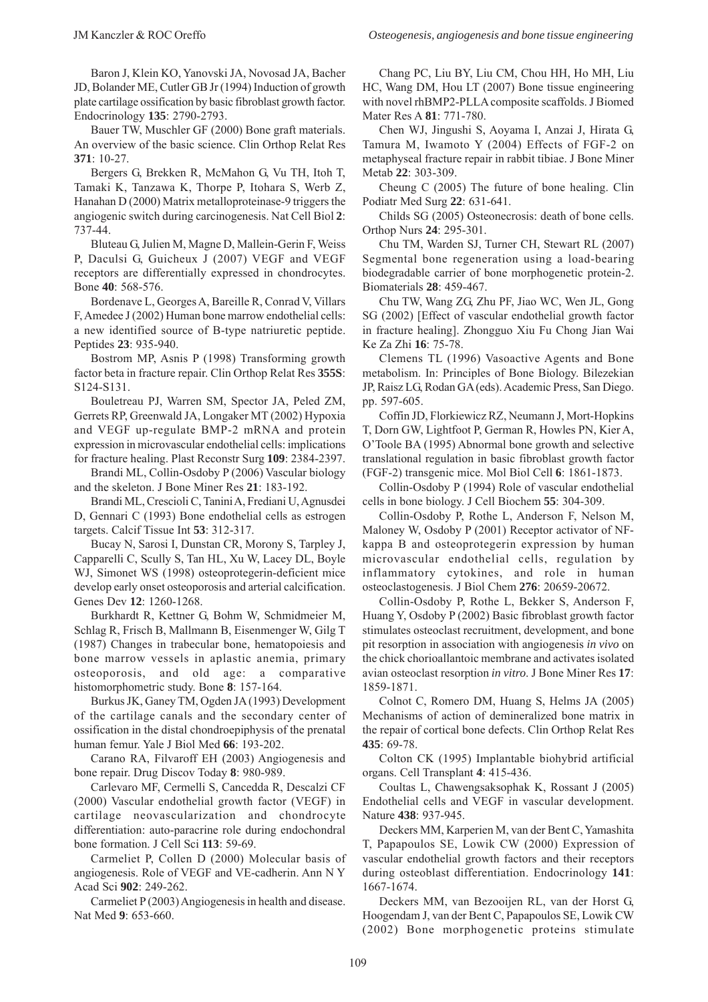Baron J, Klein KO, Yanovski JA, Novosad JA, Bacher JD, Bolander ME, Cutler GB Jr (1994) Induction of growth plate cartilage ossification by basic fibroblast growth factor. Endocrinology **135**: 2790-2793.

Bauer TW, Muschler GF (2000) Bone graft materials. An overview of the basic science. Clin Orthop Relat Res **371**: 10-27.

Bergers G, Brekken R, McMahon G, Vu TH, Itoh T, Tamaki K, Tanzawa K, Thorpe P, Itohara S, Werb Z, Hanahan D (2000) Matrix metalloproteinase-9 triggers the angiogenic switch during carcinogenesis. Nat Cell Biol **2**: 737-44.

Bluteau G, Julien M, Magne D, Mallein-Gerin F, Weiss P, Daculsi G, Guicheux J (2007) VEGF and VEGF receptors are differentially expressed in chondrocytes. Bone **40**: 568-576.

Bordenave L, Georges A, Bareille R, Conrad V, Villars F, Amedee J (2002) Human bone marrow endothelial cells: a new identified source of B-type natriuretic peptide. Peptides **23**: 935-940.

Bostrom MP, Asnis P (1998) Transforming growth factor beta in fracture repair. Clin Orthop Relat Res **355S**: S124-S131.

Bouletreau PJ, Warren SM, Spector JA, Peled ZM, Gerrets RP, Greenwald JA, Longaker MT (2002) Hypoxia and VEGF up-regulate BMP-2 mRNA and protein expression in microvascular endothelial cells: implications for fracture healing. Plast Reconstr Surg **109**: 2384-2397.

Brandi ML, Collin-Osdoby P (2006) Vascular biology and the skeleton. J Bone Miner Res **21**: 183-192.

Brandi ML, Crescioli C, Tanini A, Frediani U, Agnusdei D, Gennari C (1993) Bone endothelial cells as estrogen targets. Calcif Tissue Int **53**: 312-317.

Bucay N, Sarosi I, Dunstan CR, Morony S, Tarpley J, Capparelli C, Scully S, Tan HL, Xu W, Lacey DL, Boyle WJ, Simonet WS (1998) osteoprotegerin-deficient mice develop early onset osteoporosis and arterial calcification. Genes Dev **12**: 1260-1268.

Burkhardt R, Kettner G, Bohm W, Schmidmeier M, Schlag R, Frisch B, Mallmann B, Eisenmenger W, Gilg T (1987) Changes in trabecular bone, hematopoiesis and bone marrow vessels in aplastic anemia, primary osteoporosis, and old age: a comparative histomorphometric study. Bone **8**: 157-164.

Burkus JK, Ganey TM, Ogden JA (1993) Development of the cartilage canals and the secondary center of ossification in the distal chondroepiphysis of the prenatal human femur. Yale J Biol Med **66**: 193-202.

Carano RA, Filvaroff EH (2003) Angiogenesis and bone repair. Drug Discov Today **8**: 980-989.

Carlevaro MF, Cermelli S, Cancedda R, Descalzi CF (2000) Vascular endothelial growth factor (VEGF) in cartilage neovascularization and chondrocyte differentiation: auto-paracrine role during endochondral bone formation. J Cell Sci **113**: 59-69.

Carmeliet P, Collen D (2000) Molecular basis of angiogenesis. Role of VEGF and VE-cadherin. Ann N Y Acad Sci **902**: 249-262.

Carmeliet P (2003) Angiogenesis in health and disease. Nat Med **9**: 653-660.

Chang PC, Liu BY, Liu CM, Chou HH, Ho MH, Liu HC, Wang DM, Hou LT (2007) Bone tissue engineering with novel rhBMP2-PLLA composite scaffolds. J Biomed Mater Res A **81**: 771-780.

Chen WJ, Jingushi S, Aoyama I, Anzai J, Hirata G, Tamura M, Iwamoto Y (2004) Effects of FGF-2 on metaphyseal fracture repair in rabbit tibiae. J Bone Miner Metab **22**: 303-309.

Cheung C (2005) The future of bone healing. Clin Podiatr Med Surg **22**: 631-641.

Childs SG (2005) Osteonecrosis: death of bone cells. Orthop Nurs **24**: 295-301.

Chu TM, Warden SJ, Turner CH, Stewart RL (2007) Segmental bone regeneration using a load-bearing biodegradable carrier of bone morphogenetic protein-2. Biomaterials **28**: 459-467.

Chu TW, Wang ZG, Zhu PF, Jiao WC, Wen JL, Gong SG (2002) [Effect of vascular endothelial growth factor in fracture healing]. Zhongguo Xiu Fu Chong Jian Wai Ke Za Zhi **16**: 75-78.

Clemens TL (1996) Vasoactive Agents and Bone metabolism. In: Principles of Bone Biology. Bilezekian JP, Raisz LG, Rodan GA (eds). Academic Press, San Diego. pp. 597-605.

Coffin JD, Florkiewicz RZ, Neumann J, Mort-Hopkins T, Dorn GW, Lightfoot P, German R, Howles PN, Kier A, O'Toole BA (1995) Abnormal bone growth and selective translational regulation in basic fibroblast growth factor (FGF-2) transgenic mice. Mol Biol Cell **6**: 1861-1873.

Collin-Osdoby P (1994) Role of vascular endothelial cells in bone biology. J Cell Biochem **55**: 304-309.

Collin-Osdoby P, Rothe L, Anderson F, Nelson M, Maloney W, Osdoby P (2001) Receptor activator of NFkappa B and osteoprotegerin expression by human microvascular endothelial cells, regulation by inflammatory cytokines, and role in human osteoclastogenesis. J Biol Chem **276**: 20659-20672.

Collin-Osdoby P, Rothe L, Bekker S, Anderson F, Huang Y, Osdoby P (2002) Basic fibroblast growth factor stimulates osteoclast recruitment, development, and bone pit resorption in association with angiogenesis *in vivo* on the chick chorioallantoic membrane and activates isolated avian osteoclast resorption *in vitro*. J Bone Miner Res **17**: 1859-1871.

Colnot C, Romero DM, Huang S, Helms JA (2005) Mechanisms of action of demineralized bone matrix in the repair of cortical bone defects. Clin Orthop Relat Res **435**: 69-78.

Colton CK (1995) Implantable biohybrid artificial organs. Cell Transplant **4**: 415-436.

Coultas L, Chawengsaksophak K, Rossant J (2005) Endothelial cells and VEGF in vascular development. Nature **438**: 937-945.

Deckers MM, Karperien M, van der Bent C, Yamashita T, Papapoulos SE, Lowik CW (2000) Expression of vascular endothelial growth factors and their receptors during osteoblast differentiation. Endocrinology **141**: 1667-1674.

Deckers MM, van Bezooijen RL, van der Horst G, Hoogendam J, van der Bent C, Papapoulos SE, Lowik CW (2002) Bone morphogenetic proteins stimulate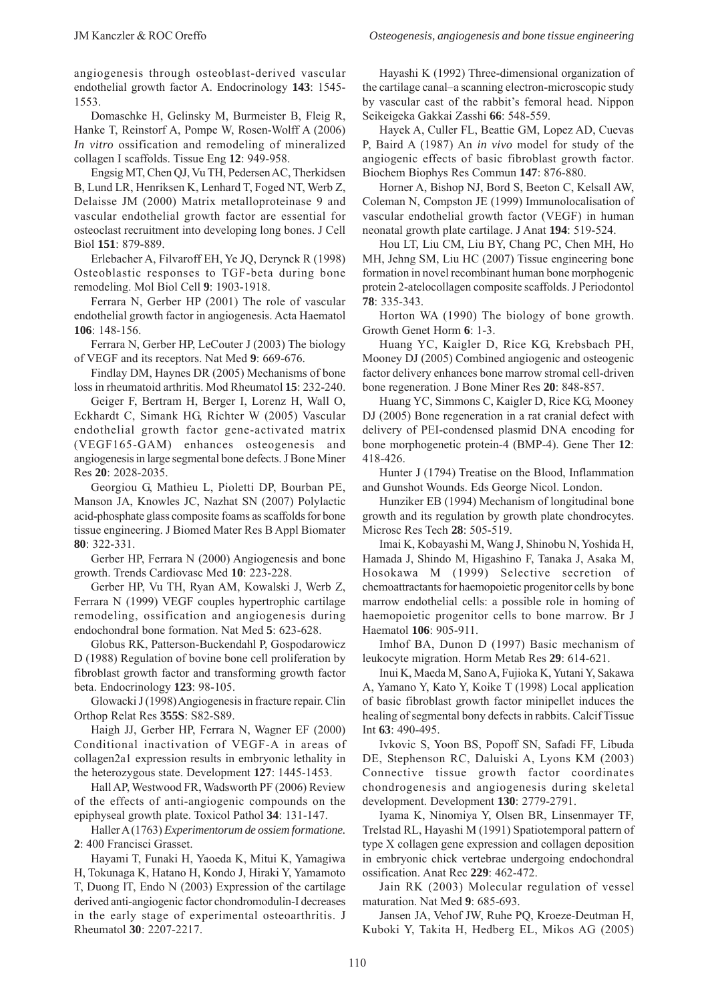angiogenesis through osteoblast-derived vascular endothelial growth factor A. Endocrinology **143**: 1545- 1553.

Domaschke H, Gelinsky M, Burmeister B, Fleig R, Hanke T, Reinstorf A, Pompe W, Rosen-Wolff A (2006) *In vitro* ossification and remodeling of mineralized collagen I scaffolds. Tissue Eng **12**: 949-958.

Engsig MT, Chen QJ, Vu TH, Pedersen AC, Therkidsen B, Lund LR, Henriksen K, Lenhard T, Foged NT, Werb Z, Delaisse JM (2000) Matrix metalloproteinase 9 and vascular endothelial growth factor are essential for osteoclast recruitment into developing long bones. J Cell Biol **151**: 879-889.

Erlebacher A, Filvaroff EH, Ye JQ, Derynck R (1998) Osteoblastic responses to TGF-beta during bone remodeling. Mol Biol Cell **9**: 1903-1918.

Ferrara N, Gerber HP (2001) The role of vascular endothelial growth factor in angiogenesis. Acta Haematol **106**: 148-156.

Ferrara N, Gerber HP, LeCouter J (2003) The biology of VEGF and its receptors. Nat Med **9**: 669-676.

Findlay DM, Haynes DR (2005) Mechanisms of bone loss in rheumatoid arthritis. Mod Rheumatol **15**: 232-240.

Geiger F, Bertram H, Berger I, Lorenz H, Wall O, Eckhardt C, Simank HG, Richter W (2005) Vascular endothelial growth factor gene-activated matrix (VEGF165-GAM) enhances osteogenesis and angiogenesis in large segmental bone defects. J Bone Miner Res **20**: 2028-2035.

Georgiou G, Mathieu L, Pioletti DP, Bourban PE, Manson JA, Knowles JC, Nazhat SN (2007) Polylactic acid-phosphate glass composite foams as scaffolds for bone tissue engineering. J Biomed Mater Res B Appl Biomater **80**: 322-331.

Gerber HP, Ferrara N (2000) Angiogenesis and bone growth. Trends Cardiovasc Med **10**: 223-228.

Gerber HP, Vu TH, Ryan AM, Kowalski J, Werb Z, Ferrara N (1999) VEGF couples hypertrophic cartilage remodeling, ossification and angiogenesis during endochondral bone formation. Nat Med **5**: 623-628.

Globus RK, Patterson-Buckendahl P, Gospodarowicz D (1988) Regulation of bovine bone cell proliferation by fibroblast growth factor and transforming growth factor beta. Endocrinology **123**: 98-105.

Glowacki J (1998) Angiogenesis in fracture repair. Clin Orthop Relat Res **355S**: S82-S89.

Haigh JJ, Gerber HP, Ferrara N, Wagner EF (2000) Conditional inactivation of VEGF-A in areas of collagen2a1 expression results in embryonic lethality in the heterozygous state. Development **127**: 1445-1453.

Hall AP, Westwood FR, Wadsworth PF (2006) Review of the effects of anti-angiogenic compounds on the epiphyseal growth plate. Toxicol Pathol **34**: 131-147.

Haller A (1763) *Experimentorum de ossiem formatione.* **2**: 400 Francisci Grasset.

Hayami T, Funaki H, Yaoeda K, Mitui K, Yamagiwa H, Tokunaga K, Hatano H, Kondo J, Hiraki Y, Yamamoto T, Duong lT, Endo N (2003) Expression of the cartilage derived anti-angiogenic factor chondromodulin-I decreases in the early stage of experimental osteoarthritis. J Rheumatol **30**: 2207-2217.

Hayashi K (1992) Three-dimensional organization of the cartilage canal–a scanning electron-microscopic study by vascular cast of the rabbit's femoral head. Nippon Seikeigeka Gakkai Zasshi **66**: 548-559.

Hayek A, Culler FL, Beattie GM, Lopez AD, Cuevas P, Baird A (1987) An *in vivo* model for study of the angiogenic effects of basic fibroblast growth factor. Biochem Biophys Res Commun **147**: 876-880.

Horner A, Bishop NJ, Bord S, Beeton C, Kelsall AW, Coleman N, Compston JE (1999) Immunolocalisation of vascular endothelial growth factor (VEGF) in human neonatal growth plate cartilage. J Anat **194**: 519-524.

Hou LT, Liu CM, Liu BY, Chang PC, Chen MH, Ho MH, Jehng SM, Liu HC (2007) Tissue engineering bone formation in novel recombinant human bone morphogenic protein 2-atelocollagen composite scaffolds. J Periodontol **78**: 335-343.

Horton WA (1990) The biology of bone growth. Growth Genet Horm **6**: 1-3.

Huang YC, Kaigler D, Rice KG, Krebsbach PH, Mooney DJ (2005) Combined angiogenic and osteogenic factor delivery enhances bone marrow stromal cell-driven bone regeneration. J Bone Miner Res **20**: 848-857.

Huang YC, Simmons C, Kaigler D, Rice KG, Mooney DJ (2005) Bone regeneration in a rat cranial defect with delivery of PEI-condensed plasmid DNA encoding for bone morphogenetic protein-4 (BMP-4). Gene Ther **12**: 418-426.

Hunter J (1794) Treatise on the Blood, Inflammation and Gunshot Wounds. Eds George Nicol. London.

Hunziker EB (1994) Mechanism of longitudinal bone growth and its regulation by growth plate chondrocytes. Microsc Res Tech **28**: 505-519.

Imai K, Kobayashi M, Wang J, Shinobu N, Yoshida H, Hamada J, Shindo M, Higashino F, Tanaka J, Asaka M, Hosokawa M (1999) Selective secretion of chemoattractants for haemopoietic progenitor cells by bone marrow endothelial cells: a possible role in homing of haemopoietic progenitor cells to bone marrow. Br J Haematol **106**: 905-911.

Imhof BA, Dunon D (1997) Basic mechanism of leukocyte migration. Horm Metab Res **29**: 614-621.

Inui K, Maeda M, Sano A, Fujioka K, Yutani Y, Sakawa A, Yamano Y, Kato Y, Koike T (1998) Local application of basic fibroblast growth factor minipellet induces the healing of segmental bony defects in rabbits. Calcif Tissue Int **63**: 490-495.

Ivkovic S, Yoon BS, Popoff SN, Safadi FF, Libuda DE, Stephenson RC, Daluiski A, Lyons KM (2003) Connective tissue growth factor coordinates chondrogenesis and angiogenesis during skeletal development. Development **130**: 2779-2791.

Iyama K, Ninomiya Y, Olsen BR, Linsenmayer TF, Trelstad RL, Hayashi M (1991) Spatiotemporal pattern of type X collagen gene expression and collagen deposition in embryonic chick vertebrae undergoing endochondral ossification. Anat Rec **229**: 462-472.

Jain RK (2003) Molecular regulation of vessel maturation. Nat Med **9**: 685-693.

Jansen JA, Vehof JW, Ruhe PQ, Kroeze-Deutman H, Kuboki Y, Takita H, Hedberg EL, Mikos AG (2005)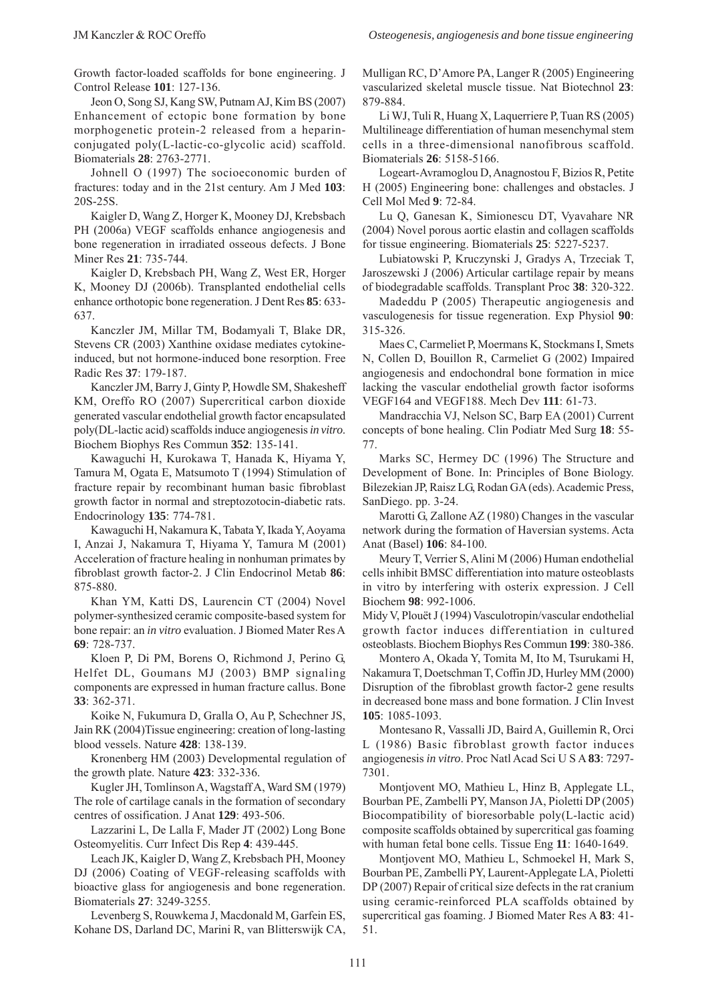Growth factor-loaded scaffolds for bone engineering. J Control Release **101**: 127-136.

Jeon O, Song SJ, Kang SW, Putnam AJ, Kim BS (2007) Enhancement of ectopic bone formation by bone morphogenetic protein-2 released from a heparinconjugated poly(L-lactic-co-glycolic acid) scaffold. Biomaterials **28**: 2763-2771.

Johnell O (1997) The socioeconomic burden of fractures: today and in the 21st century. Am J Med **103**: 20S-25S.

Kaigler D, Wang Z, Horger K, Mooney DJ, Krebsbach PH (2006a) VEGF scaffolds enhance angiogenesis and bone regeneration in irradiated osseous defects. J Bone Miner Res **21**: 735-744.

Kaigler D, Krebsbach PH, Wang Z, West ER, Horger K, Mooney DJ (2006b). Transplanted endothelial cells enhance orthotopic bone regeneration. J Dent Res **85**: 633- 637.

Kanczler JM, Millar TM, Bodamyali T, Blake DR, Stevens CR (2003) Xanthine oxidase mediates cytokineinduced, but not hormone-induced bone resorption. Free Radic Res **37**: 179-187.

Kanczler JM, Barry J, Ginty P, Howdle SM, Shakesheff KM, Oreffo RO (2007) Supercritical carbon dioxide generated vascular endothelial growth factor encapsulated poly(DL-lactic acid) scaffolds induce angiogenesis *in vitro*. Biochem Biophys Res Commun **352**: 135-141.

Kawaguchi H, Kurokawa T, Hanada K, Hiyama Y, Tamura M, Ogata E, Matsumoto T (1994) Stimulation of fracture repair by recombinant human basic fibroblast growth factor in normal and streptozotocin-diabetic rats. Endocrinology **135**: 774-781.

Kawaguchi H, Nakamura K, Tabata Y, Ikada Y, Aoyama I, Anzai J, Nakamura T, Hiyama Y, Tamura M (2001) Acceleration of fracture healing in nonhuman primates by fibroblast growth factor-2. J Clin Endocrinol Metab **86**: 875-880.

Khan YM, Katti DS, Laurencin CT (2004) Novel polymer-synthesized ceramic composite-based system for bone repair: an *in vitro* evaluation. J Biomed Mater Res A **69**: 728-737.

Kloen P, Di PM, Borens O, Richmond J, Perino G, Helfet DL, Goumans MJ (2003) BMP signaling components are expressed in human fracture callus. Bone **33**: 362-371.

Koike N, Fukumura D, Gralla O, Au P, Schechner JS, Jain RK (2004)Tissue engineering: creation of long-lasting blood vessels. Nature **428**: 138-139.

Kronenberg HM (2003) Developmental regulation of the growth plate. Nature **423**: 332-336.

Kugler JH, Tomlinson A, Wagstaff A, Ward SM (1979) The role of cartilage canals in the formation of secondary centres of ossification. J Anat **129**: 493-506.

Lazzarini L, De Lalla F, Mader JT (2002) Long Bone Osteomyelitis. Curr Infect Dis Rep **4**: 439-445.

Leach JK, Kaigler D, Wang Z, Krebsbach PH, Mooney DJ (2006) Coating of VEGF-releasing scaffolds with bioactive glass for angiogenesis and bone regeneration. Biomaterials **27**: 3249-3255.

Levenberg S, Rouwkema J, Macdonald M, Garfein ES, Kohane DS, Darland DC, Marini R, van Blitterswijk CA,

Mulligan RC, D'Amore PA, Langer R (2005) Engineering vascularized skeletal muscle tissue. Nat Biotechnol **23**: 879-884.

Li WJ, Tuli R, Huang X, Laquerriere P, Tuan RS (2005) Multilineage differentiation of human mesenchymal stem cells in a three-dimensional nanofibrous scaffold. Biomaterials **26**: 5158-5166.

Logeart-Avramoglou D, Anagnostou F, Bizios R, Petite H (2005) Engineering bone: challenges and obstacles. J Cell Mol Med **9**: 72-84.

Lu Q, Ganesan K, Simionescu DT, Vyavahare NR (2004) Novel porous aortic elastin and collagen scaffolds for tissue engineering. Biomaterials **25**: 5227-5237.

Lubiatowski P, Kruczynski J, Gradys A, Trzeciak T, Jaroszewski J (2006) Articular cartilage repair by means of biodegradable scaffolds. Transplant Proc **38**: 320-322.

Madeddu P (2005) Therapeutic angiogenesis and vasculogenesis for tissue regeneration. Exp Physiol **90**: 315-326.

Maes C, Carmeliet P, Moermans K, Stockmans I, Smets N, Collen D, Bouillon R, Carmeliet G (2002) Impaired angiogenesis and endochondral bone formation in mice lacking the vascular endothelial growth factor isoforms VEGF164 and VEGF188. Mech Dev **111**: 61-73.

Mandracchia VJ, Nelson SC, Barp EA (2001) Current concepts of bone healing. Clin Podiatr Med Surg **18**: 55- 77.

Marks SC, Hermey DC (1996) The Structure and Development of Bone. In: Principles of Bone Biology. Bilezekian JP, Raisz LG, Rodan GA (eds). Academic Press, SanDiego. pp. 3-24.

Marotti G, Zallone AZ (1980) Changes in the vascular network during the formation of Haversian systems. Acta Anat (Basel) **106**: 84-100.

Meury T, Verrier S, Alini M (2006) Human endothelial cells inhibit BMSC differentiation into mature osteoblasts in vitro by interfering with osterix expression. J Cell Biochem **98**: 992-1006.

Midy V, Plouët J (1994) Vasculotropin/vascular endothelial growth factor induces differentiation in cultured osteoblasts. Biochem Biophys Res Commun **199**: 380-386.

Montero A, Okada Y, Tomita M, Ito M, Tsurukami H, Nakamura T, Doetschman T, Coffin JD, Hurley MM (2000) Disruption of the fibroblast growth factor-2 gene results in decreased bone mass and bone formation. J Clin Invest **105**: 1085-1093.

Montesano R, Vassalli JD, Baird A, Guillemin R, Orci L (1986) Basic fibroblast growth factor induces angiogenesis *in vitro*. Proc Natl Acad Sci U S A **83**: 7297- 7301.

Montjovent MO, Mathieu L, Hinz B, Applegate LL, Bourban PE, Zambelli PY, Manson JA, Pioletti DP (2005) Biocompatibility of bioresorbable poly(L-lactic acid) composite scaffolds obtained by supercritical gas foaming with human fetal bone cells. Tissue Eng **11**: 1640-1649.

Montjovent MO, Mathieu L, Schmoekel H, Mark S, Bourban PE, Zambelli PY, Laurent-Applegate LA, Pioletti DP (2007) Repair of critical size defects in the rat cranium using ceramic-reinforced PLA scaffolds obtained by supercritical gas foaming. J Biomed Mater Res A **83**: 41- 51.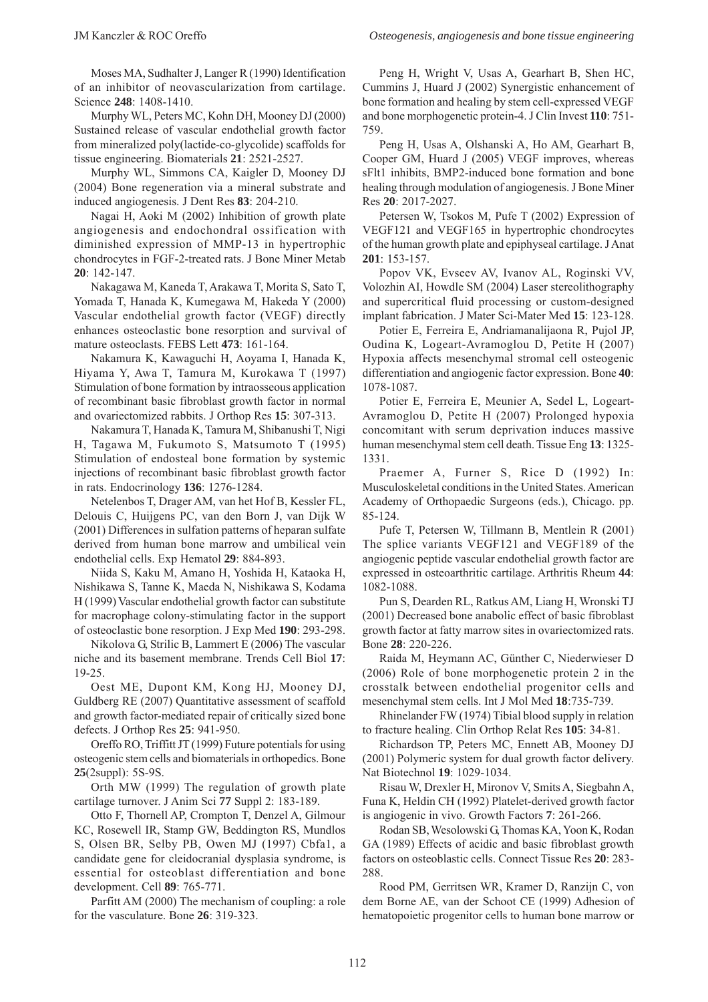Moses MA, Sudhalter J, Langer R (1990) Identification of an inhibitor of neovascularization from cartilage. Science **248**: 1408-1410.

Murphy WL, Peters MC, Kohn DH, Mooney DJ (2000) Sustained release of vascular endothelial growth factor from mineralized poly(lactide-co-glycolide) scaffolds for tissue engineering. Biomaterials **21**: 2521-2527.

Murphy WL, Simmons CA, Kaigler D, Mooney DJ (2004) Bone regeneration via a mineral substrate and induced angiogenesis. J Dent Res **83**: 204-210.

Nagai H, Aoki M (2002) Inhibition of growth plate angiogenesis and endochondral ossification with diminished expression of MMP-13 in hypertrophic chondrocytes in FGF-2-treated rats. J Bone Miner Metab **20**: 142-147.

Nakagawa M, Kaneda T, Arakawa T, Morita S, Sato T, Yomada T, Hanada K, Kumegawa M, Hakeda Y (2000) Vascular endothelial growth factor (VEGF) directly enhances osteoclastic bone resorption and survival of mature osteoclasts. FEBS Lett **473**: 161-164.

Nakamura K, Kawaguchi H, Aoyama I, Hanada K, Hiyama Y, Awa T, Tamura M, Kurokawa T (1997) Stimulation of bone formation by intraosseous application of recombinant basic fibroblast growth factor in normal and ovariectomized rabbits. J Orthop Res **15**: 307-313.

Nakamura T, Hanada K, Tamura M, Shibanushi T, Nigi H, Tagawa M, Fukumoto S, Matsumoto T (1995) Stimulation of endosteal bone formation by systemic injections of recombinant basic fibroblast growth factor in rats. Endocrinology **136**: 1276-1284.

Netelenbos T, Drager AM, van het Hof B, Kessler FL, Delouis C, Huijgens PC, van den Born J, van Dijk W (2001) Differences in sulfation patterns of heparan sulfate derived from human bone marrow and umbilical vein endothelial cells. Exp Hematol **29**: 884-893.

Niida S, Kaku M, Amano H, Yoshida H, Kataoka H, Nishikawa S, Tanne K, Maeda N, Nishikawa S, Kodama H (1999) Vascular endothelial growth factor can substitute for macrophage colony-stimulating factor in the support of osteoclastic bone resorption. J Exp Med **190**: 293-298.

Nikolova G, Strilic B, Lammert E (2006) The vascular niche and its basement membrane. Trends Cell Biol **17**: 19-25.

Oest ME, Dupont KM, Kong HJ, Mooney DJ, Guldberg RE (2007) Quantitative assessment of scaffold and growth factor-mediated repair of critically sized bone defects. J Orthop Res **25**: 941-950.

Oreffo RO, Triffitt JT (1999) Future potentials for using osteogenic stem cells and biomaterials in orthopedics. Bone **25**(2suppl): 5S-9S.

Orth MW (1999) The regulation of growth plate cartilage turnover. J Anim Sci **77** Suppl 2: 183-189.

Otto F, Thornell AP, Crompton T, Denzel A, Gilmour KC, Rosewell IR, Stamp GW, Beddington RS, Mundlos S, Olsen BR, Selby PB, Owen MJ (1997) Cbfa1, a candidate gene for cleidocranial dysplasia syndrome, is essential for osteoblast differentiation and bone development. Cell **89**: 765-771.

Parfitt AM (2000) The mechanism of coupling: a role for the vasculature. Bone **26**: 319-323.

Peng H, Wright V, Usas A, Gearhart B, Shen HC, Cummins J, Huard J (2002) Synergistic enhancement of bone formation and healing by stem cell-expressed VEGF and bone morphogenetic protein-4. J Clin Invest **110**: 751- 759.

Peng H, Usas A, Olshanski A, Ho AM, Gearhart B, Cooper GM, Huard J (2005) VEGF improves, whereas sFlt1 inhibits, BMP2-induced bone formation and bone healing through modulation of angiogenesis. J Bone Miner Res **20**: 2017-2027.

Petersen W, Tsokos M, Pufe T (2002) Expression of VEGF121 and VEGF165 in hypertrophic chondrocytes of the human growth plate and epiphyseal cartilage. J Anat **201**: 153-157.

Popov VK, Evseev AV, Ivanov AL, Roginski VV, Volozhin AI, Howdle SM (2004) Laser stereolithography and supercritical fluid processing or custom-designed implant fabrication. J Mater Sci-Mater Med **15**: 123-128.

Potier E, Ferreira E, Andriamanalijaona R, Pujol JP, Oudina K, Logeart-Avramoglou D, Petite H (2007) Hypoxia affects mesenchymal stromal cell osteogenic differentiation and angiogenic factor expression. Bone **40**: 1078-1087.

Potier E, Ferreira E, Meunier A, Sedel L, Logeart-Avramoglou D, Petite H (2007) Prolonged hypoxia concomitant with serum deprivation induces massive human mesenchymal stem cell death. Tissue Eng **13**: 1325- 1331.

Praemer A, Furner S, Rice D (1992) In: Musculoskeletal conditions in the United States. American Academy of Orthopaedic Surgeons (eds.), Chicago. pp. 85-124.

Pufe T, Petersen W, Tillmann B, Mentlein R (2001) The splice variants VEGF121 and VEGF189 of the angiogenic peptide vascular endothelial growth factor are expressed in osteoarthritic cartilage. Arthritis Rheum **44**: 1082-1088.

Pun S, Dearden RL, Ratkus AM, Liang H, Wronski TJ (2001) Decreased bone anabolic effect of basic fibroblast growth factor at fatty marrow sites in ovariectomized rats. Bone **28**: 220-226.

Raida M, Heymann AC, Günther C, Niederwieser D (2006) Role of bone morphogenetic protein 2 in the crosstalk between endothelial progenitor cells and mesenchymal stem cells. Int J Mol Med **18**:735-739.

Rhinelander FW (1974) Tibial blood supply in relation to fracture healing. Clin Orthop Relat Res **105**: 34-81.

Richardson TP, Peters MC, Ennett AB, Mooney DJ (2001) Polymeric system for dual growth factor delivery. Nat Biotechnol **19**: 1029-1034.

Risau W, Drexler H, Mironov V, Smits A, Siegbahn A, Funa K, Heldin CH (1992) Platelet-derived growth factor is angiogenic in vivo. Growth Factors **7**: 261-266.

Rodan SB, Wesolowski G, Thomas KA, Yoon K, Rodan GA (1989) Effects of acidic and basic fibroblast growth factors on osteoblastic cells. Connect Tissue Res **20**: 283- 288.

Rood PM, Gerritsen WR, Kramer D, Ranzijn C, von dem Borne AE, van der Schoot CE (1999) Adhesion of hematopoietic progenitor cells to human bone marrow or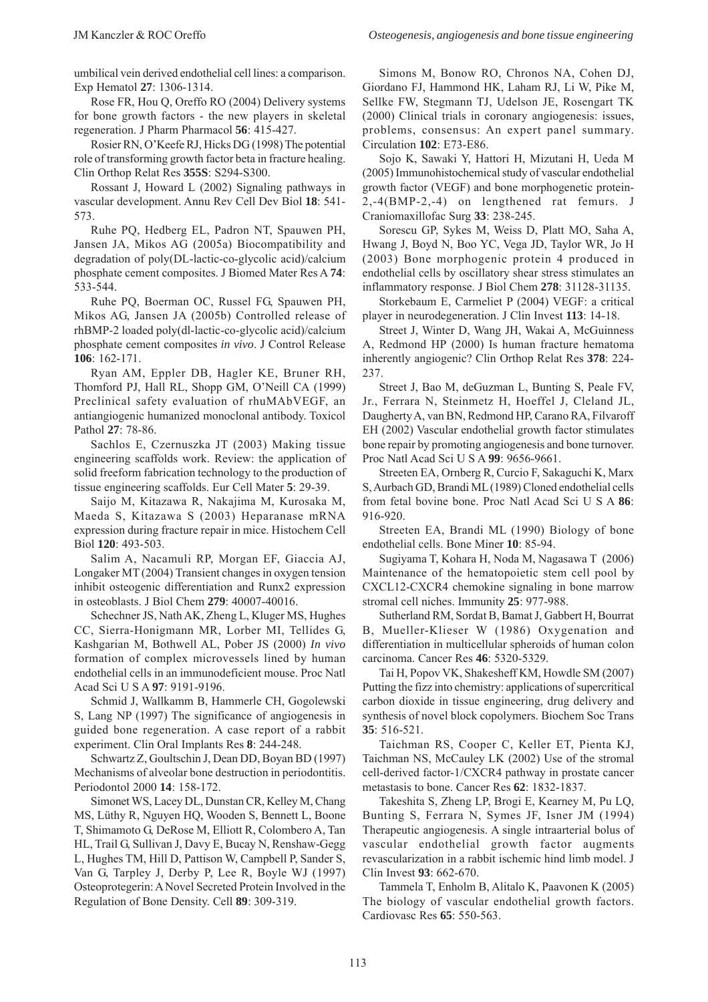umbilical vein derived endothelial cell lines: a comparison. Exp Hematol **27**: 1306-1314.

Rose FR, Hou Q, Oreffo RO (2004) Delivery systems for bone growth factors - the new players in skeletal regeneration. J Pharm Pharmacol **56**: 415-427.

Rosier RN, O'Keefe RJ, Hicks DG (1998) The potential role of transforming growth factor beta in fracture healing. Clin Orthop Relat Res **355S**: S294-S300.

Rossant J, Howard L (2002) Signaling pathways in vascular development. Annu Rev Cell Dev Biol **18**: 541- 573.

Ruhe PQ, Hedberg EL, Padron NT, Spauwen PH, Jansen JA, Mikos AG (2005a) Biocompatibility and degradation of poly(DL-lactic-co-glycolic acid)/calcium phosphate cement composites. J Biomed Mater Res A **74**: 533-544.

Ruhe PQ, Boerman OC, Russel FG, Spauwen PH, Mikos AG, Jansen JA (2005b) Controlled release of rhBMP-2 loaded poly(dl-lactic-co-glycolic acid)/calcium phosphate cement composites *in vivo*. J Control Release **106**: 162-171.

Ryan AM, Eppler DB, Hagler KE, Bruner RH, Thomford PJ, Hall RL, Shopp GM, O'Neill CA (1999) Preclinical safety evaluation of rhuMAbVEGF, an antiangiogenic humanized monoclonal antibody. Toxicol Pathol **27**: 78-86.

Sachlos E, Czernuszka JT (2003) Making tissue engineering scaffolds work. Review: the application of solid freeform fabrication technology to the production of tissue engineering scaffolds. Eur Cell Mater **5**: 29-39.

Saijo M, Kitazawa R, Nakajima M, Kurosaka M, Maeda S, Kitazawa S (2003) Heparanase mRNA expression during fracture repair in mice. Histochem Cell Biol **120**: 493-503.

Salim A, Nacamuli RP, Morgan EF, Giaccia AJ, Longaker MT (2004) Transient changes in oxygen tension inhibit osteogenic differentiation and Runx2 expression in osteoblasts. J Biol Chem **279**: 40007-40016.

Schechner JS, Nath AK, Zheng L, Kluger MS, Hughes CC, Sierra-Honigmann MR, Lorber MI, Tellides G, Kashgarian M, Bothwell AL, Pober JS (2000) *In vivo* formation of complex microvessels lined by human endothelial cells in an immunodeficient mouse. Proc Natl Acad Sci U S A **97**: 9191-9196.

Schmid J, Wallkamm B, Hammerle CH, Gogolewski S, Lang NP (1997) The significance of angiogenesis in guided bone regeneration. A case report of a rabbit experiment. Clin Oral Implants Res **8**: 244-248.

Schwartz Z, Goultschin J, Dean DD, Boyan BD (1997) Mechanisms of alveolar bone destruction in periodontitis. Periodontol 2000 **14**: 158-172.

Simonet WS, Lacey DL, Dunstan CR, Kelley M, Chang MS, Lüthy R, Nguyen HQ, Wooden S, Bennett L, Boone T, Shimamoto G, DeRose M, Elliott R, Colombero A, Tan HL, Trail G, Sullivan J, Davy E, Bucay N, Renshaw-Gegg L, Hughes TM, Hill D, Pattison W, Campbell P, Sander S, Van G, Tarpley J, Derby P, Lee R, Boyle WJ (1997) Osteoprotegerin: A Novel Secreted Protein Involved in the Regulation of Bone Density. Cell **89**: 309-319.

Simons M, Bonow RO, Chronos NA, Cohen DJ, Giordano FJ, Hammond HK, Laham RJ, Li W, Pike M, Sellke FW, Stegmann TJ, Udelson JE, Rosengart TK (2000) Clinical trials in coronary angiogenesis: issues, problems, consensus: An expert panel summary. Circulation **102**: E73-E86.

Sojo K, Sawaki Y, Hattori H, Mizutani H, Ueda M (2005) Immunohistochemical study of vascular endothelial growth factor (VEGF) and bone morphogenetic protein-2,-4(BMP-2,-4) on lengthened rat femurs. J Craniomaxillofac Surg **33**: 238-245.

Sorescu GP, Sykes M, Weiss D, Platt MO, Saha A, Hwang J, Boyd N, Boo YC, Vega JD, Taylor WR, Jo H (2003) Bone morphogenic protein 4 produced in endothelial cells by oscillatory shear stress stimulates an inflammatory response. J Biol Chem **278**: 31128-31135.

Storkebaum E, Carmeliet P (2004) VEGF: a critical player in neurodegeneration. J Clin Invest **113**: 14-18.

Street J, Winter D, Wang JH, Wakai A, McGuinness A, Redmond HP (2000) Is human fracture hematoma inherently angiogenic? Clin Orthop Relat Res **378**: 224- 237.

Street J, Bao M, deGuzman L, Bunting S, Peale FV, Jr., Ferrara N, Steinmetz H, Hoeffel J, Cleland JL, Daugherty A, van BN, Redmond HP, Carano RA, Filvaroff EH (2002) Vascular endothelial growth factor stimulates bone repair by promoting angiogenesis and bone turnover. Proc Natl Acad Sci U S A **99**: 9656-9661.

Streeten EA, Ornberg R, Curcio F, Sakaguchi K, Marx S, Aurbach GD, Brandi ML (1989) Cloned endothelial cells from fetal bovine bone. Proc Natl Acad Sci U S A **86**: 916-920.

Streeten EA, Brandi ML (1990) Biology of bone endothelial cells. Bone Miner **10**: 85-94.

Sugiyama T, Kohara H, Noda M, Nagasawa T (2006) Maintenance of the hematopoietic stem cell pool by CXCL12-CXCR4 chemokine signaling in bone marrow stromal cell niches. Immunity **25**: 977-988.

Sutherland RM, Sordat B, Bamat J, Gabbert H, Bourrat B, Mueller-Klieser W (1986) Oxygenation and differentiation in multicellular spheroids of human colon carcinoma. Cancer Res **46**: 5320-5329.

Tai H, Popov VK, Shakesheff KM, Howdle SM (2007) Putting the fizz into chemistry: applications of supercritical carbon dioxide in tissue engineering, drug delivery and synthesis of novel block copolymers. Biochem Soc Trans **35**: 516-521.

Taichman RS, Cooper C, Keller ET, Pienta KJ, Taichman NS, McCauley LK (2002) Use of the stromal cell-derived factor-1/CXCR4 pathway in prostate cancer metastasis to bone. Cancer Res **62**: 1832-1837.

Takeshita S, Zheng LP, Brogi E, Kearney M, Pu LQ, Bunting S, Ferrara N, Symes JF, Isner JM (1994) Therapeutic angiogenesis. A single intraarterial bolus of vascular endothelial growth factor augments revascularization in a rabbit ischemic hind limb model. J Clin Invest **93**: 662-670.

Tammela T, Enholm B, Alitalo K, Paavonen K (2005) The biology of vascular endothelial growth factors. Cardiovasc Res **65**: 550-563.